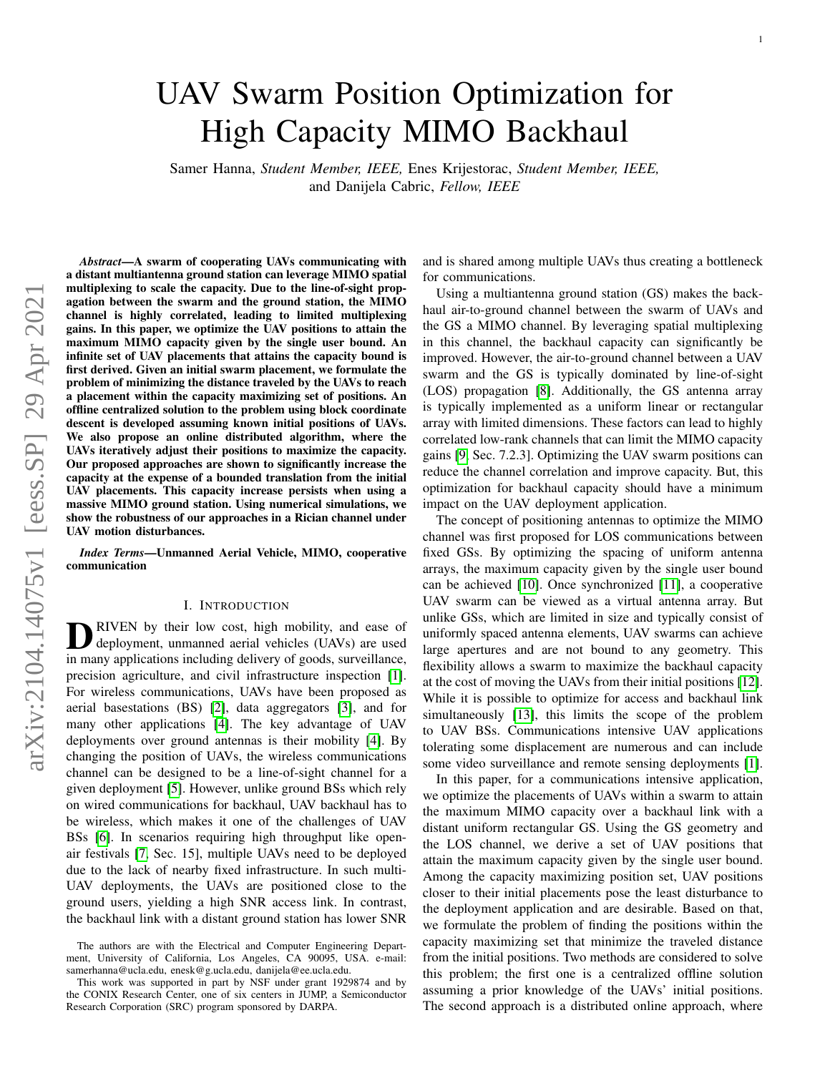# arXiv:2104.14075v1 [eess.SP] 29 Apr 2021 arXiv:2104.14075v1 [eess.SP] 29 Apr 2021

# UAV Swarm Position Optimization for High Capacity MIMO Backhaul

Samer Hanna, *Student Member, IEEE,* Enes Krijestorac, *Student Member, IEEE,* and Danijela Cabric, *Fellow, IEEE*

*Abstract*—A swarm of cooperating UAVs communicating with a distant multiantenna ground station can leverage MIMO spatial multiplexing to scale the capacity. Due to the line-of-sight propagation between the swarm and the ground station, the MIMO channel is highly correlated, leading to limited multiplexing gains. In this paper, we optimize the UAV positions to attain the maximum MIMO capacity given by the single user bound. An infinite set of UAV placements that attains the capacity bound is first derived. Given an initial swarm placement, we formulate the problem of minimizing the distance traveled by the UAVs to reach a placement within the capacity maximizing set of positions. An offline centralized solution to the problem using block coordinate descent is developed assuming known initial positions of UAVs. We also propose an online distributed algorithm, where the UAVs iteratively adjust their positions to maximize the capacity. Our proposed approaches are shown to significantly increase the capacity at the expense of a bounded translation from the initial UAV placements. This capacity increase persists when using a massive MIMO ground station. Using numerical simulations, we show the robustness of our approaches in a Rician channel under UAV motion disturbances.

*Index Terms*—Unmanned Aerial Vehicle, MIMO, cooperative communication

#### I. INTRODUCTION

**D** RIVEN by their low cost, high mobility, and ease of deployment, unmanned aerial vehicles (UAVs) are used in many applications including delivery of goods, surveillance, RIVEN by their low cost, high mobility, and ease of deployment, unmanned aerial vehicles (UAVs) are used precision agriculture, and civil infrastructure inspection [\[1\]](#page-14-0). For wireless communications, UAVs have been proposed as aerial basestations (BS) [\[2\]](#page-14-1), data aggregators [\[3\]](#page-14-2), and for many other applications [\[4\]](#page-14-3). The key advantage of UAV deployments over ground antennas is their mobility [\[4\]](#page-14-3). By changing the position of UAVs, the wireless communications channel can be designed to be a line-of-sight channel for a given deployment [\[5\]](#page-14-4). However, unlike ground BSs which rely on wired communications for backhaul, UAV backhaul has to be wireless, which makes it one of the challenges of UAV BSs [\[6\]](#page-14-5). In scenarios requiring high throughput like openair festivals [\[7,](#page-14-6) Sec. 15], multiple UAVs need to be deployed due to the lack of nearby fixed infrastructure. In such multi-UAV deployments, the UAVs are positioned close to the ground users, yielding a high SNR access link. In contrast, the backhaul link with a distant ground station has lower SNR

and is shared among multiple UAVs thus creating a bottleneck for communications.

Using a multiantenna ground station (GS) makes the backhaul air-to-ground channel between the swarm of UAVs and the GS a MIMO channel. By leveraging spatial multiplexing in this channel, the backhaul capacity can significantly be improved. However, the air-to-ground channel between a UAV swarm and the GS is typically dominated by line-of-sight (LOS) propagation [\[8\]](#page-14-7). Additionally, the GS antenna array is typically implemented as a uniform linear or rectangular array with limited dimensions. These factors can lead to highly correlated low-rank channels that can limit the MIMO capacity gains [\[9,](#page-14-8) Sec. 7.2.3]. Optimizing the UAV swarm positions can reduce the channel correlation and improve capacity. But, this optimization for backhaul capacity should have a minimum impact on the UAV deployment application.

The concept of positioning antennas to optimize the MIMO channel was first proposed for LOS communications between fixed GSs. By optimizing the spacing of uniform antenna arrays, the maximum capacity given by the single user bound can be achieved [\[10\]](#page-14-9). Once synchronized [\[11\]](#page-14-10), a cooperative UAV swarm can be viewed as a virtual antenna array. But unlike GSs, which are limited in size and typically consist of uniformly spaced antenna elements, UAV swarms can achieve large apertures and are not bound to any geometry. This flexibility allows a swarm to maximize the backhaul capacity at the cost of moving the UAVs from their initial positions [\[12\]](#page-14-11). While it is possible to optimize for access and backhaul link simultaneously [\[13\]](#page-14-12), this limits the scope of the problem to UAV BSs. Communications intensive UAV applications tolerating some displacement are numerous and can include some video surveillance and remote sensing deployments [\[1\]](#page-14-0).

In this paper, for a communications intensive application, we optimize the placements of UAVs within a swarm to attain the maximum MIMO capacity over a backhaul link with a distant uniform rectangular GS. Using the GS geometry and the LOS channel, we derive a set of UAV positions that attain the maximum capacity given by the single user bound. Among the capacity maximizing position set, UAV positions closer to their initial placements pose the least disturbance to the deployment application and are desirable. Based on that, we formulate the problem of finding the positions within the capacity maximizing set that minimize the traveled distance from the initial positions. Two methods are considered to solve this problem; the first one is a centralized offline solution assuming a prior knowledge of the UAVs' initial positions. The second approach is a distributed online approach, where

The authors are with the Electrical and Computer Engineering Department, University of California, Los Angeles, CA 90095, USA. e-mail: samerhanna@ucla.edu, enesk@g.ucla.edu, danijela@ee.ucla.edu.

This work was supported in part by NSF under grant 1929874 and by the CONIX Research Center, one of six centers in JUMP, a Semiconductor Research Corporation (SRC) program sponsored by DARPA.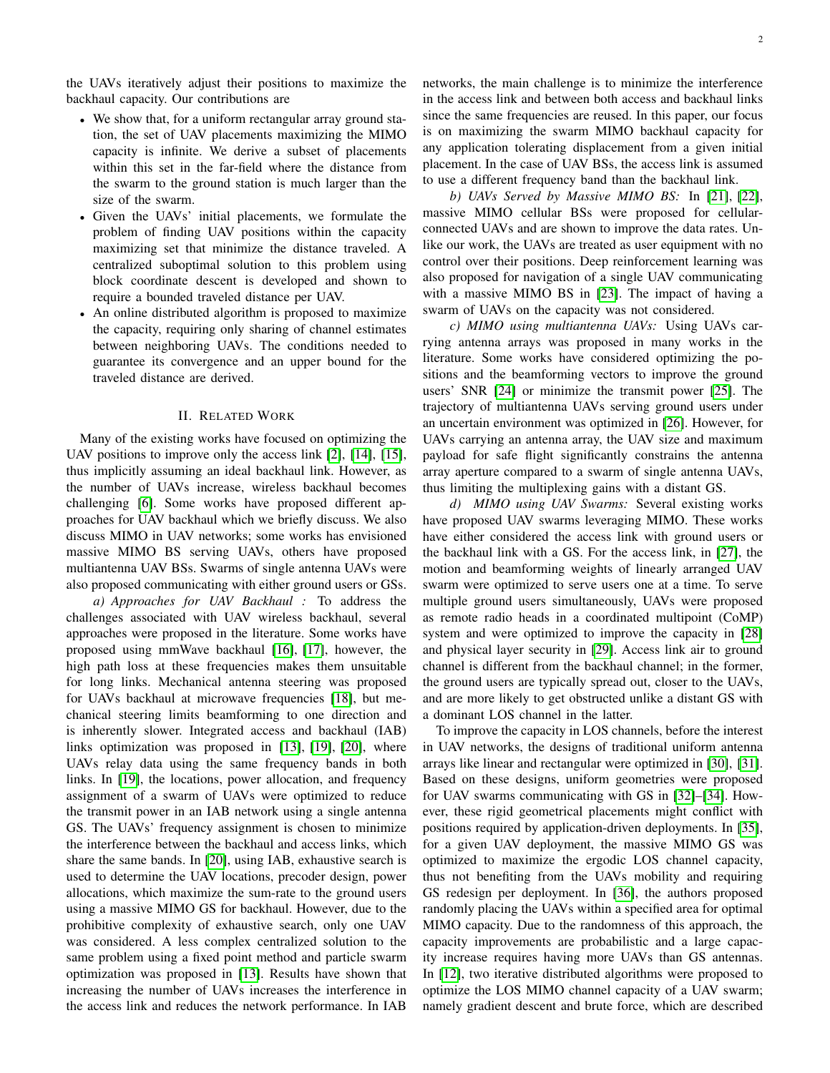the UAVs iteratively adjust their positions to maximize the backhaul capacity. Our contributions are

- We show that, for a uniform rectangular array ground station, the set of UAV placements maximizing the MIMO capacity is infinite. We derive a subset of placements within this set in the far-field where the distance from the swarm to the ground station is much larger than the size of the swarm.
- Given the UAVs' initial placements, we formulate the problem of finding UAV positions within the capacity maximizing set that minimize the distance traveled. A centralized suboptimal solution to this problem using block coordinate descent is developed and shown to require a bounded traveled distance per UAV.
- An online distributed algorithm is proposed to maximize the capacity, requiring only sharing of channel estimates between neighboring UAVs. The conditions needed to guarantee its convergence and an upper bound for the traveled distance are derived.

# II. RELATED WORK

Many of the existing works have focused on optimizing the UAV positions to improve only the access link [\[2\]](#page-14-1), [\[14\]](#page-14-13), [\[15\]](#page-14-14), thus implicitly assuming an ideal backhaul link. However, as the number of UAVs increase, wireless backhaul becomes challenging [\[6\]](#page-14-5). Some works have proposed different approaches for UAV backhaul which we briefly discuss. We also discuss MIMO in UAV networks; some works has envisioned massive MIMO BS serving UAVs, others have proposed multiantenna UAV BSs. Swarms of single antenna UAVs were also proposed communicating with either ground users or GSs.

*a) Approaches for UAV Backhaul :* To address the challenges associated with UAV wireless backhaul, several approaches were proposed in the literature. Some works have proposed using mmWave backhaul [\[16\]](#page-14-15), [\[17\]](#page-14-16), however, the high path loss at these frequencies makes them unsuitable for long links. Mechanical antenna steering was proposed for UAVs backhaul at microwave frequencies [\[18\]](#page-14-17), but mechanical steering limits beamforming to one direction and is inherently slower. Integrated access and backhaul (IAB) links optimization was proposed in [\[13\]](#page-14-12), [\[19\]](#page-14-18), [\[20\]](#page-14-19), where UAVs relay data using the same frequency bands in both links. In [\[19\]](#page-14-18), the locations, power allocation, and frequency assignment of a swarm of UAVs were optimized to reduce the transmit power in an IAB network using a single antenna GS. The UAVs' frequency assignment is chosen to minimize the interference between the backhaul and access links, which share the same bands. In [\[20\]](#page-14-19), using IAB, exhaustive search is used to determine the UAV locations, precoder design, power allocations, which maximize the sum-rate to the ground users using a massive MIMO GS for backhaul. However, due to the prohibitive complexity of exhaustive search, only one UAV was considered. A less complex centralized solution to the same problem using a fixed point method and particle swarm optimization was proposed in [\[13\]](#page-14-12). Results have shown that increasing the number of UAVs increases the interference in the access link and reduces the network performance. In IAB networks, the main challenge is to minimize the interference in the access link and between both access and backhaul links since the same frequencies are reused. In this paper, our focus is on maximizing the swarm MIMO backhaul capacity for any application tolerating displacement from a given initial placement. In the case of UAV BSs, the access link is assumed to use a different frequency band than the backhaul link.

*b) UAVs Served by Massive MIMO BS:* In [\[21\]](#page-14-20), [\[22\]](#page-14-21), massive MIMO cellular BSs were proposed for cellularconnected UAVs and are shown to improve the data rates. Unlike our work, the UAVs are treated as user equipment with no control over their positions. Deep reinforcement learning was also proposed for navigation of a single UAV communicating with a massive MIMO BS in [\[23\]](#page-15-0). The impact of having a swarm of UAVs on the capacity was not considered.

*c) MIMO using multiantenna UAVs:* Using UAVs carrying antenna arrays was proposed in many works in the literature. Some works have considered optimizing the positions and the beamforming vectors to improve the ground users' SNR [\[24\]](#page-15-1) or minimize the transmit power [\[25\]](#page-15-2). The trajectory of multiantenna UAVs serving ground users under an uncertain environment was optimized in [\[26\]](#page-15-3). However, for UAVs carrying an antenna array, the UAV size and maximum payload for safe flight significantly constrains the antenna array aperture compared to a swarm of single antenna UAVs, thus limiting the multiplexing gains with a distant GS.

*d) MIMO using UAV Swarms:* Several existing works have proposed UAV swarms leveraging MIMO. These works have either considered the access link with ground users or the backhaul link with a GS. For the access link, in [\[27\]](#page-15-4), the motion and beamforming weights of linearly arranged UAV swarm were optimized to serve users one at a time. To serve multiple ground users simultaneously, UAVs were proposed as remote radio heads in a coordinated multipoint (CoMP) system and were optimized to improve the capacity in [\[28\]](#page-15-5) and physical layer security in [\[29\]](#page-15-6). Access link air to ground channel is different from the backhaul channel; in the former, the ground users are typically spread out, closer to the UAVs, and are more likely to get obstructed unlike a distant GS with a dominant LOS channel in the latter.

To improve the capacity in LOS channels, before the interest in UAV networks, the designs of traditional uniform antenna arrays like linear and rectangular were optimized in [\[30\]](#page-15-7), [\[31\]](#page-15-8). Based on these designs, uniform geometries were proposed for UAV swarms communicating with GS in [\[32\]](#page-15-9)–[\[34\]](#page-15-10). However, these rigid geometrical placements might conflict with positions required by application-driven deployments. In [\[35\]](#page-15-11), for a given UAV deployment, the massive MIMO GS was optimized to maximize the ergodic LOS channel capacity, thus not benefiting from the UAVs mobility and requiring GS redesign per deployment. In [\[36\]](#page-15-12), the authors proposed randomly placing the UAVs within a specified area for optimal MIMO capacity. Due to the randomness of this approach, the capacity improvements are probabilistic and a large capacity increase requires having more UAVs than GS antennas. In [\[12\]](#page-14-11), two iterative distributed algorithms were proposed to optimize the LOS MIMO channel capacity of a UAV swarm; namely gradient descent and brute force, which are described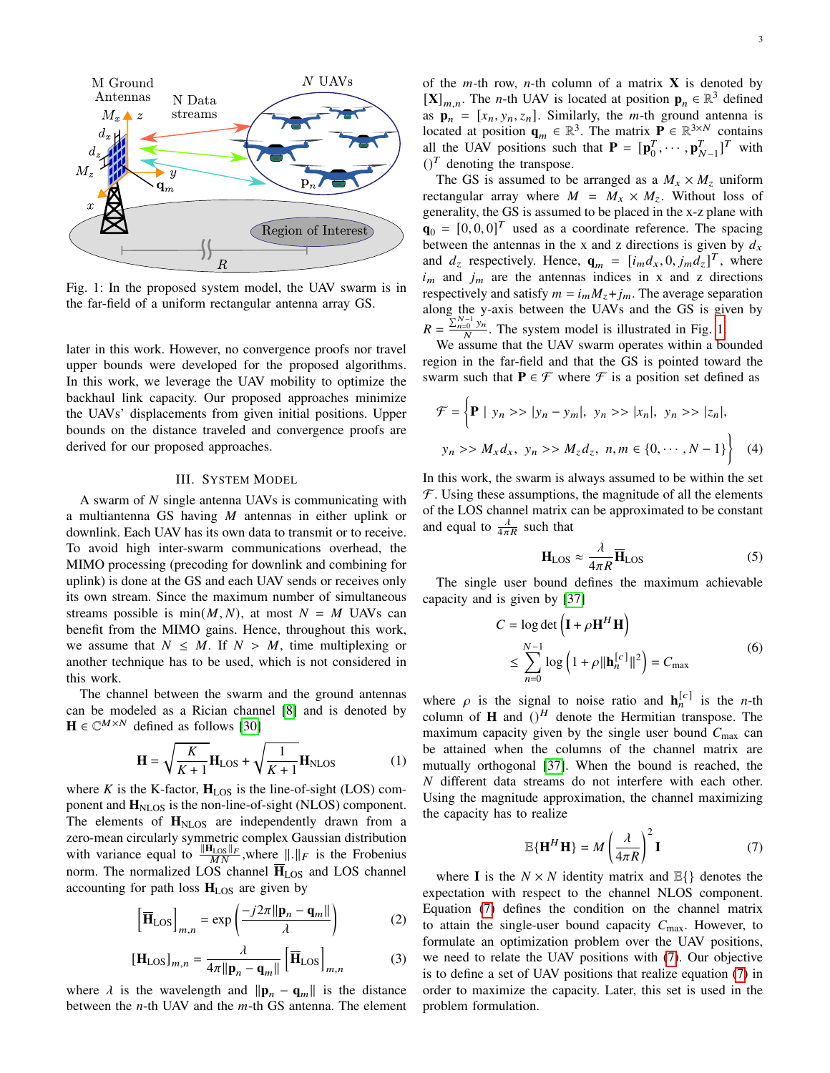<span id="page-2-0"></span>

Fig. 1: In the proposed system model, the UAV swarm is in the far-field of a uniform rectangular antenna array GS.

later in this work. However, no convergence proofs nor travel upper bounds were developed for the proposed algorithms. In this work, we leverage the UAV mobility to optimize the backhaul link capacity. Our proposed approaches minimize the UAVs' displacements from given initial positions. Upper bounds on the distance traveled and convergence proofs are derived for our proposed approaches.

# III. SYSTEM MODEL

A swarm of  $N$  single antenna UAVs is communicating with a multiantenna GS having  $M$  antennas in either uplink or downlink. Each UAV has its own data to transmit or to receive. To avoid high inter-swarm communications overhead, the MIMO processing (precoding for downlink and combining for uplink) is done at the GS and each UAV sends or receives only its own stream. Since the maximum number of simultaneous streams possible is  $min(M, N)$ , at most  $N = M$  UAVs can benefit from the MIMO gains. Hence, throughout this work, we assume that  $N \leq M$ . If  $N > M$ , time multiplexing or another technique has to be used, which is not considered in this work.

The channel between the swarm and the ground antennas can be modeled as a Rician channel [\[8\]](#page-14-7) and is denoted by  $\mathbf{H} \in \mathbb{C}^{M \times N}$  defined as follows [\[30\]](#page-15-7)

$$
\mathbf{H} = \sqrt{\frac{K}{K+1}} \mathbf{H}_{\text{LOS}} + \sqrt{\frac{1}{K+1}} \mathbf{H}_{\text{NLOS}} \tag{1}
$$

where  $K$  is the K-factor,  $H_{LOS}$  is the line-of-sight (LOS) component and  $H<sub>NLOS</sub>$  is the non-line-of-sight (NLOS) component. The elements of  $H<sub>NLOS</sub>$  are independently drawn from a zero-mean circularly symmetric complex Gaussian distribution with variance equal to  $\frac{\|\mathbf{H}_{\text{LOS}}\|_F}{MN}$ , where  $\|\cdot\|_F$  is the Frobenius norm. The normalized LOS channel  $\overline{H}_{LOS}$  and LOS channel accounting for path loss  $H_{LOS}$  are given by

$$
\left[\overline{\mathbf{H}}_{\text{LOS}}\right]_{m,n} = \exp\left(\frac{-j2\pi \|\mathbf{p}_n - \mathbf{q}_m\|}{\lambda}\right) \tag{2}
$$

$$
\left[\mathbf{H}_{\text{LOS}}\right]_{m,n} = \frac{\lambda}{4\pi \|\mathbf{p}_n - \mathbf{q}_m\|} \left[\overline{\mathbf{H}}_{\text{LOS}}\right]_{m,n} \tag{3}
$$

where  $\lambda$  is the wavelength and  $\|\mathbf{p}_n - \mathbf{q}_m\|$  is the distance between the  $n$ -th UAV and the  $m$ -th GS antenna. The element of the  $m$ -th row,  $n$ -th column of a matrix **X** is denoted by  $[\mathbf{X}]_{m,n}$ . The *n*-th UAV is located at position  $\mathbf{p}_n \in \mathbb{R}^3$  defined as  $\mathbf{p}_n = [x_n, y_n, z_n]$ . Similarly, the *m*-th ground antenna is located at position  $\mathbf{q}_m \in \mathbb{R}^3$ . The matrix  $\mathbf{P} \in \mathbb{R}^{3 \times N}$  contains all the UAV positions such that  $P = [p_0^T]$  $\mathbf{p}_{0}^{T}, \cdots, \mathbf{p}_{N-1}^{T}]^{T}$  with  $()^T$  denoting the transpose.

The GS is assumed to be arranged as a  $M_x \times M_z$  uniform rectangular array where  $M = M_x \times M_z$ . Without loss of generality, the GS is assumed to be placed in the x-z plane with  $\mathbf{q}_0 = [0, 0, 0]^T$  used as a coordinate reference. The spacing between the antennas in the x and z directions is given by  $d_x$ and  $d_z$  respectively. Hence,  $\mathbf{q}_m = [i_m d_x, 0, j_m d_z]^T$ , where  $i_m$  and  $j_m$  are the antennas indices in x and z directions respectively and satisfy  $m = i_m M_z + j_m$ . The average separation along the y-axis between the UAVs and the GS is given by  $R = \frac{\sum_{n=0}^{N-1} y_n}{N}$  $\frac{1}{N}$ . The system model is illustrated in Fig. [1.](#page-2-0)

We assume that the UAV swarm operates within a bounded region in the far-field and that the GS is pointed toward the swarm such that  $P \in \mathcal{F}$  where  $\mathcal{F}$  is a position set defined as

$$
\mathcal{F} = \left\{ \mathbf{P} \mid y_n >> |y_n - y_m|, \ y_n >> |x_n|, \ y_n >> |z_n|, \right\}
$$
\n
$$
y_n >> M_x d_x, \ y_n >> M_z d_z, \ n, m \in \{0, \cdots, N - 1\} \right\} \tag{4}
$$

In this work, the swarm is always assumed to be within the set  $F$ . Using these assumptions, the magnitude of all the elements of the LOS channel matrix can be approximated to be constant and equal to  $\frac{\lambda}{4\pi R}$  such that

$$
\mathbf{H}_{\text{LOS}} \approx \frac{\lambda}{4\pi R} \overline{\mathbf{H}}_{\text{LOS}} \tag{5}
$$

The single user bound defines the maximum achievable capacity and is given by [\[37\]](#page-15-13)

<span id="page-2-2"></span>
$$
C = \log \det \left( \mathbf{I} + \rho \mathbf{H}^H \mathbf{H} \right)
$$
  
 
$$
\leq \sum_{n=0}^{N-1} \log \left( 1 + \rho \|\mathbf{h}_n^{[c]}\|^2 \right) = C_{\text{max}} \tag{6}
$$

where  $\rho$  is the signal to noise ratio and  $\mathbf{h}_n^{[c]}$  is the *n*-th column of **H** and  $()^H$  denote the Hermitian transpose. The maximum capacity given by the single user bound  $C_{\text{max}}$  can be attained when the columns of the channel matrix are mutually orthogonal [\[37\]](#page-15-13). When the bound is reached, the  $N$  different data streams do not interfere with each other. Using the magnitude approximation, the channel maximizing the capacity has to realize

<span id="page-2-1"></span>
$$
\mathbb{E}\{\mathbf{H}^{H}\mathbf{H}\} = M\left(\frac{\lambda}{4\pi R}\right)^{2}\mathbf{I}
$$
 (7)

where **I** is the  $N \times N$  identity matrix and  $\mathbb{E}\{\}$  denotes the expectation with respect to the channel NLOS component. Equation [\(7\)](#page-2-1) defines the condition on the channel matrix to attain the single-user bound capacity  $C_{\text{max}}$ . However, to formulate an optimization problem over the UAV positions, we need to relate the UAV positions with [\(7\)](#page-2-1). Our objective is to define a set of UAV positions that realize equation [\(7\)](#page-2-1) in order to maximize the capacity. Later, this set is used in the problem formulation.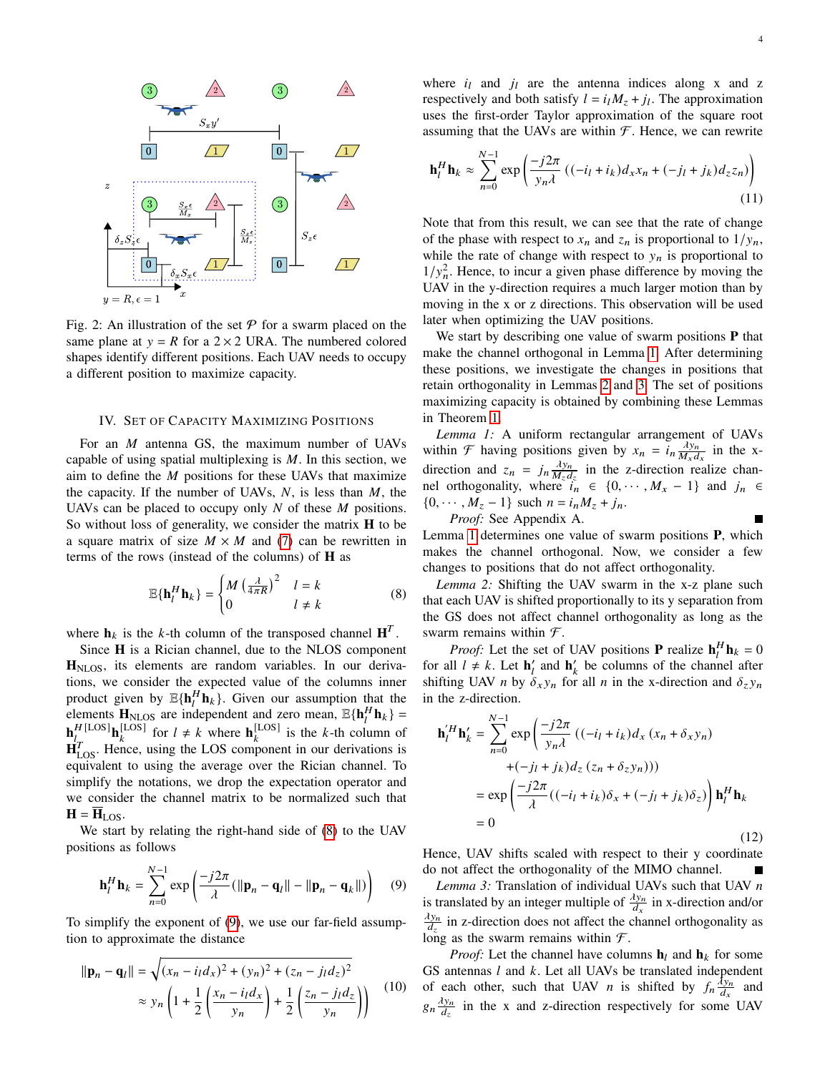<span id="page-3-5"></span>

Fig. 2: An illustration of the set  $\mathcal P$  for a swarm placed on the same plane at  $y = R$  for a 2 × 2 URA. The numbered colored shapes identify different positions. Each UAV needs to occupy a different position to maximize capacity.

#### IV. SET OF CAPACITY MAXIMIZING POSITIONS

For an  $M$  antenna GS, the maximum number of UAVs capable of using spatial multiplexing is  $M$ . In this section, we aim to define the  $M$  positions for these UAVs that maximize the capacity. If the number of UAVs,  $N$ , is less than  $M$ , the UAVs can be placed to occupy only  $N$  of these  $M$  positions. So without loss of generality, we consider the matrix **H** to be a square matrix of size  $M \times M$  and [\(7\)](#page-2-1) can be rewritten in terms of the rows (instead of the columns) of **H** as

<span id="page-3-0"></span>
$$
\mathbb{E}\{\mathbf{h}_{l}^{H}\mathbf{h}_{k}\} = \begin{cases} M\left(\frac{\lambda}{4\pi R}\right)^{2} & l = k\\ 0 & l \neq k \end{cases}
$$
 (8)

where  $h_k$  is the k-th column of the transposed channel  $H^T$ .

Since **H** is a Rician channel, due to the NLOS component **H**NLOS, its elements are random variables. In our derivations, we consider the expected value of the columns inner product given by  $\mathbb{E}\{\mathbf{h}_l^H \mathbf{h}_k\}$ . Given our assumption that the elements  $\mathbf{H}_{\text{NLOS}}$  are independent and zero mean,  $\mathbb{E}\{\mathbf{h}_l^H \mathbf{h}_k\}$  $\mathbf{h}_l^H$ <sup>[LOS]</sup> $\mathbf{h}_k^{\text{[LOS]}}$  for  $l \neq k$  where  $\mathbf{h}_k^{\text{[LOS]}}$  is the k-th column of  $\mathbf{H}_{\text{LOS}}^T$ . Hence, using the LOS component in our derivations is equivalent to using the average over the Rician channel. To simplify the notations, we drop the expectation operator and we consider the channel matrix to be normalized such that  $H = H<sub>LOS</sub>$ .

We start by relating the right-hand side of [\(8\)](#page-3-0) to the UAV positions as follows

$$
\mathbf{h}_l^H \mathbf{h}_k = \sum_{n=0}^{N-1} \exp\left(\frac{-j2\pi}{\lambda} (\|\mathbf{p}_n - \mathbf{q}_l\| - \|\mathbf{p}_n - \mathbf{q}_k\|)\right) \quad (9)
$$

To simplify the exponent of [\(9\)](#page-3-1), we use our far-field assumption to approximate the distance

<span id="page-3-6"></span>
$$
\|\mathbf{p}_n - \mathbf{q}_l\| = \sqrt{(x_n - i_l d_x)^2 + (y_n)^2 + (z_n - j_l d_z)^2}
$$
  
 
$$
\approx y_n \left(1 + \frac{1}{2} \left(\frac{x_n - i_l d_x}{y_n}\right) + \frac{1}{2} \left(\frac{z_n - j_l d_z}{y_n}\right)\right)
$$
 (10)

where  $i_l$  and  $j_l$  are the antenna indices along x and z respectively and both satisfy  $l = i_l M_z + j_l$ . The approximation uses the first-order Taylor approximation of the square root assuming that the UAVs are within  $F$ . Hence, we can rewrite

<span id="page-3-7"></span>
$$
\mathbf{h}_l^H \mathbf{h}_k \approx \sum_{n=0}^{N-1} \exp\left(\frac{-j2\pi}{y_n \lambda} \left( (-i_l + i_k) d_x x_n + (-j_l + j_k) d_z z_n \right) \right)
$$
(11)

Note that from this result, we can see that the rate of change of the phase with respect to  $x_n$  and  $z_n$  is proportional to  $1/y_n$ , while the rate of change with respect to  $y_n$  is proportional to  $1/y_n^2$ . Hence, to incur a given phase difference by moving the UAV in the y-direction requires a much larger motion than by moving in the x or z directions. This observation will be used later when optimizing the UAV positions.

We start by describing one value of swarm positions **P** that make the channel orthogonal in Lemma [1.](#page-3-2) After determining these positions, we investigate the changes in positions that retain orthogonality in Lemmas [2](#page-3-3) and [3.](#page-3-4) The set of positions maximizing capacity is obtained by combining these Lemmas in Theorem [1.](#page-4-0)

<span id="page-3-2"></span>*Lemma 1:* A uniform rectangular arrangement of UAVs within  $\mathcal{F}$  having positions given by  $x_n = i_n \frac{\lambda y_n}{M}$  $\frac{\Delta y_n}{M_x d_x}$  in the xdirection and  $z_n = j_n \frac{\lambda y_n}{M_d}$  $\frac{\lambda y_n}{M_z d_z}$  in the z-direction realize channel orthogonality, where  $i_n \in \{0, \dots, M_x - 1\}$  and  $j_n \in$  $\{0, \cdots, M_z - 1\}$  such  $n = i_n M_z + j_n$ .

*Proof:* See Appendix A. Lemma [1](#page-3-2) determines one value of swarm positions **P**, which makes the channel orthogonal. Now, we consider a few changes to positions that do not affect orthogonality.

<span id="page-3-3"></span>*Lemma 2:* Shifting the UAV swarm in the x-z plane such that each UAV is shifted proportionally to its y separation from the GS does not affect channel orthogonality as long as the swarm remains within  $\mathcal{F}.$ 

*Proof:* Let the set of UAV positions **P** realize  $\mathbf{h}_l^H \mathbf{h}_k = 0$ for all  $l \neq k$ . Let  $\mathbf{h}'_l$  and  $\mathbf{h}'_k$  be columns of the channel after shifting UAV *n* by  $\delta_x y_n$  for all *n* in the x-direction and  $\delta_z y_n$ in the z-direction.

$$
\mathbf{h}'_l^H \mathbf{h}'_k = \sum_{n=0}^{N-1} \exp\left(\frac{-j2\pi}{y_n \lambda} \left( (-i_l + i_k) d_x (x_n + \delta_x y_n) \right) + (-j_l + j_k) d_z (z_n + \delta_z y_n) \right)
$$
  
=  $\exp\left(\frac{-j2\pi}{\lambda} \left( (-i_l + i_k) \delta_x + (-j_l + j_k) \delta_z \right) \right) \mathbf{h}_l^H \mathbf{h}_k$   
= 0 (12)

Hence, UAV shifts scaled with respect to their y coordinate do not affect the orthogonality of the MIMO channel. г

<span id="page-3-4"></span><span id="page-3-1"></span>Lemma 3: Translation of individual UAVs such that UAV n is translated by an integer multiple of  $\frac{\lambda y_n}{d_x}$  in x-direction and/or  $\lambda y_n$  $\frac{dy_n}{dz}$  in z-direction does not affect the channel orthogonality as long as the swarm remains within  $\mathcal{F}$ .

*Proof:* Let the channel have columns  $\mathbf{h}_l$  and  $\mathbf{h}_k$  for some GS antennas  $l$  and  $k$ . Let all UAVs be translated independent of each other, such that UAV *n* is shifted by  $f_n \frac{\lambda y_n}{d_n}$  $\frac{dy_n}{dx}$  and  $g_n \frac{\lambda y_n}{d}$  $\frac{dy_n}{dz}$  in the x and z-direction respectively for some UAV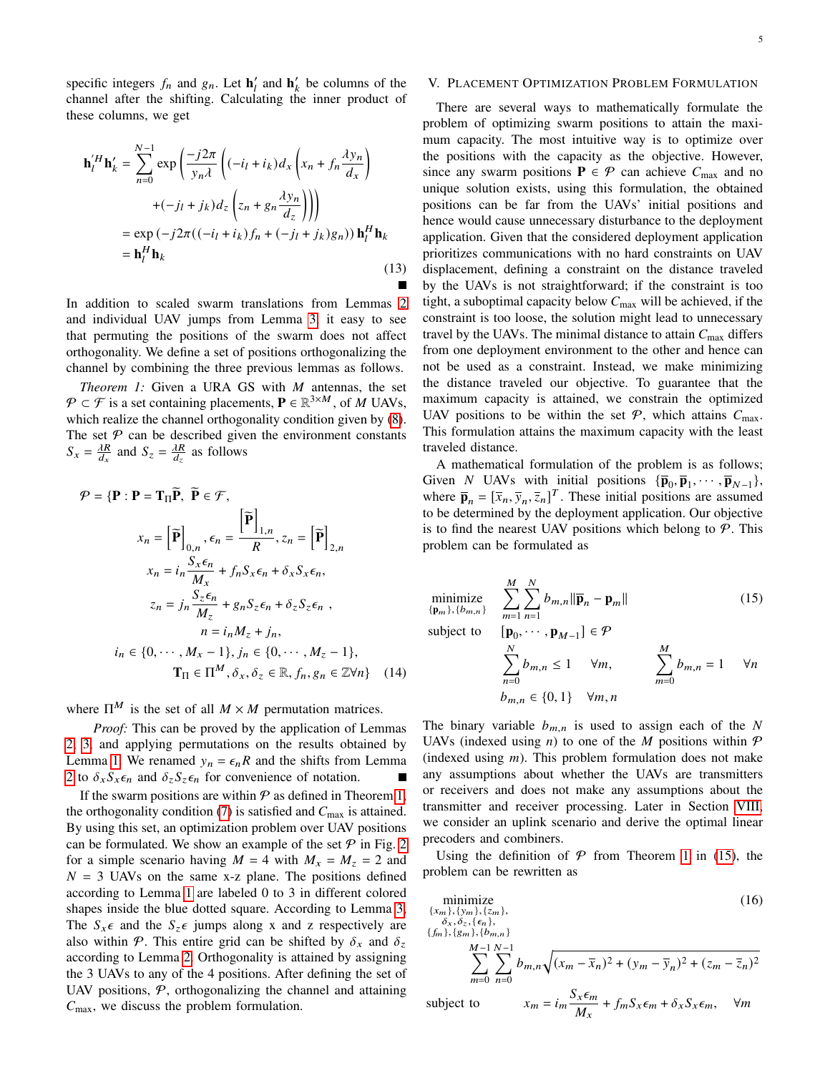specific integers  $f_n$  and  $g_n$ . Let  $\mathbf{h}'_l$  and  $\mathbf{h}'_k$  be columns of the channel after the shifting. Calculating the inner product of these columns, we get

$$
\mathbf{h}'_l^H \mathbf{h}'_k = \sum_{n=0}^{N-1} \exp\left(\frac{-j2\pi}{y_n \lambda} \left( (-i_l + i_k) d_x \left( x_n + f_n \frac{\lambda y_n}{d_x} \right) \right) + (-j_l + j_k) d_z \left( z_n + g_n \frac{\lambda y_n}{d_z} \right) \right)
$$
  
=  $\exp\left(-j2\pi ((-i_l + i_k) f_n + (-j_l + j_k) g_n) \right) \mathbf{h}_l^H \mathbf{h}_k$   
=  $\mathbf{h}_l^H \mathbf{h}_k$  (13)

Г

In addition to scaled swarm translations from Lemmas [2](#page-3-3) and individual UAV jumps from Lemma [3,](#page-3-4) it easy to see that permuting the positions of the swarm does not affect orthogonality. We define a set of positions orthogonalizing the channel by combining the three previous lemmas as follows.

<span id="page-4-0"></span>*Theorem 1:* Given a URA GS with  $M$  antennas, the set  $P \subset \mathcal{F}$  is a set containing placements,  $P \in \mathbb{R}^{3 \times M}$ , of M UAVs, which realize the channel orthogonality condition given by  $(8)$  $(8)$  $(8)$ . The set  $P$  can be described given the environment constants  $S_x = \frac{\lambda R}{d_x}$  and  $S_z = \frac{\lambda R}{d_z}$  as follows

$$
\mathcal{P} = \{ \mathbf{P} : \mathbf{P} = \mathbf{T}_{\Pi} \widetilde{\mathbf{P}}, \ \widetilde{\mathbf{P}} \in \mathcal{F},
$$
\n
$$
x_n = \left[ \widetilde{\mathbf{P}} \right]_{0,n}, \epsilon_n = \frac{\left[ \widetilde{\mathbf{P}} \right]_{1,n}}{R}, z_n = \left[ \widetilde{\mathbf{P}} \right]_{2,n}
$$
\n
$$
x_n = i_n \frac{S_x \epsilon_n}{M_x} + f_n S_x \epsilon_n + \delta_x S_x \epsilon_n,
$$
\n
$$
z_n = j_n \frac{S_z \epsilon_n}{M_z} + g_n S_z \epsilon_n + \delta_z S_z \epsilon_n,
$$
\n
$$
n = i_n M_z + j_n,
$$
\n
$$
i_n \in \{0, \cdots, M_x - 1\}, j_n \in \{0, \cdots, M_z - 1\},
$$
\n
$$
\mathbf{T}_{\Pi} \in \Pi^M, \delta_x, \delta_z \in \mathbb{R}, f_n, g_n \in \mathbb{Z} \forall n \} \quad (14)
$$

where  $\Pi^M$  is the set of all  $M \times M$  permutation matrices.

*Proof:* This can be proved by the application of Lemmas [2,](#page-3-3) [3,](#page-3-4) and applying permutations on the results obtained by Lemma [1.](#page-3-2) We renamed  $y_n = \epsilon_n R$  and the shifts from Lemma [2](#page-3-3) to  $\delta_x S_x \epsilon_n$  and  $\delta_z S_z \epsilon_n$  for convenience of notation.

If the swarm positions are within  $P$  as defined in Theorem [1,](#page-4-0) the orthogonality condition [\(7\)](#page-2-1) is satisfied and  $C_{\text{max}}$  is attained. By using this set, an optimization problem over UAV positions can be formulated. We show an example of the set  $P$  in Fig. [2](#page-3-5) for a simple scenario having  $M = 4$  with  $M_x = M_z = 2$  and  $N = 3$  UAVs on the same x-z plane. The positions defined according to Lemma [1](#page-3-2) are labeled 0 to 3 in different colored shapes inside the blue dotted square. According to Lemma [3,](#page-3-4) The  $S_{x} \epsilon$  and the  $S_{z} \epsilon$  jumps along x and z respectively are also within P. This entire grid can be shifted by  $\delta_x$  and  $\delta_z$ according to Lemma [2.](#page-3-3) Orthogonality is attained by assigning the 3 UAVs to any of the 4 positions. After defining the set of UAV positions,  $P$ , orthogonalizing the channel and attaining  $C_{\text{max}}$ , we discuss the problem formulation.

# V. PLACEMENT OPTIMIZATION PROBLEM FORMULATION

There are several ways to mathematically formulate the problem of optimizing swarm positions to attain the maximum capacity. The most intuitive way is to optimize over the positions with the capacity as the objective. However, since any swarm positions  $P \in \mathcal{P}$  can achieve  $C_{\text{max}}$  and no unique solution exists, using this formulation, the obtained positions can be far from the UAVs' initial positions and hence would cause unnecessary disturbance to the deployment application. Given that the considered deployment application prioritizes communications with no hard constraints on UAV displacement, defining a constraint on the distance traveled by the UAVs is not straightforward; if the constraint is too tight, a suboptimal capacity below  $C_{\text{max}}$  will be achieved, if the constraint is too loose, the solution might lead to unnecessary travel by the UAVs. The minimal distance to attain  $C_{\text{max}}$  differs from one deployment environment to the other and hence can not be used as a constraint. Instead, we make minimizing the distance traveled our objective. To guarantee that the maximum capacity is attained, we constrain the optimized UAV positions to be within the set  $P$ , which attains  $C_{\text{max}}$ . This formulation attains the maximum capacity with the least traveled distance.

A mathematical formulation of the problem is as follows; Given *N* UAVs with initial positions  ${\{\overline{\mathbf{p}}_0, \overline{\mathbf{p}}_1, \cdots, \overline{\mathbf{p}}_{N-1}\}}$ , where  $\overline{\mathbf{p}}_n = [\overline{x}_n, \overline{y}_n, \overline{z}_n]^T$ . These initial positions are assumed to be determined by the deployment application. Our objective is to find the nearest UAV positions which belong to  $P$ . This problem can be formulated as

$$
\underset{\{\mathbf{p}_m\},\{b_{m,n}\}}{\text{minimize}} \quad \sum_{m=1}^{M} \sum_{n=1}^{N} b_{m,n} \|\overline{\mathbf{p}}_n - \mathbf{p}_m\| \tag{15}
$$

subject to  $, \cdots$ ,  $\mathbf{p}_{M-1}] \in \mathcal{P}$  $\sum$  $\overline{N}$  $b_{m,n} \leq 1 \quad \forall m, \quad \sum$ 

$$
\sum_{n=0}^{n=0} b_{m,n} \le 1 \quad \forall m, \qquad \sum_{m=0}^{n=0} b_{m,n} = 1 \quad \forall n
$$
  

$$
b_{m,n} \in \{0,1\} \quad \forall m,n
$$

<span id="page-4-2"></span><span id="page-4-1"></span> $\overline{M}$ 

The binary variable  $b_{m,n}$  is used to assign each of the N UAVs (indexed using  $n$ ) to one of the  $M$  positions within  $P$ (indexed using  $m$ ). This problem formulation does not make any assumptions about whether the UAVs are transmitters or receivers and does not make any assumptions about the transmitter and receiver processing. Later in Section [VIII,](#page-9-0) we consider an uplink scenario and derive the optimal linear precoders and combiners.

Using the definition of  $P$  from Theorem [1](#page-4-0) in [\(15\)](#page-4-1), the problem can be rewritten as

$$
\begin{array}{ll}\n\text{minimize} \\
\{x_m\}, \{y_m\}, \{z_m\}, \\
\delta_x, \delta_z, \{\epsilon_n\},\n\end{array} \tag{16}
$$

$$
\sum_{m=0}^{\{f_m\},\{g_m\},\{b_{m,n}\}} \sum_{n=0}^{M-1} \sum_{n=0}^{N-1} b_{m,n} \sqrt{(x_m - \bar{x}_n)^2 + (y_m - \bar{y}_n)^2 + (z_m - \bar{z}_n)^2}
$$
\nsubject to\n
$$
x_m = i_m \frac{S_x \epsilon_m}{M_x} + f_m S_x \epsilon_m + \delta_x S_x \epsilon_m, \quad \forall m
$$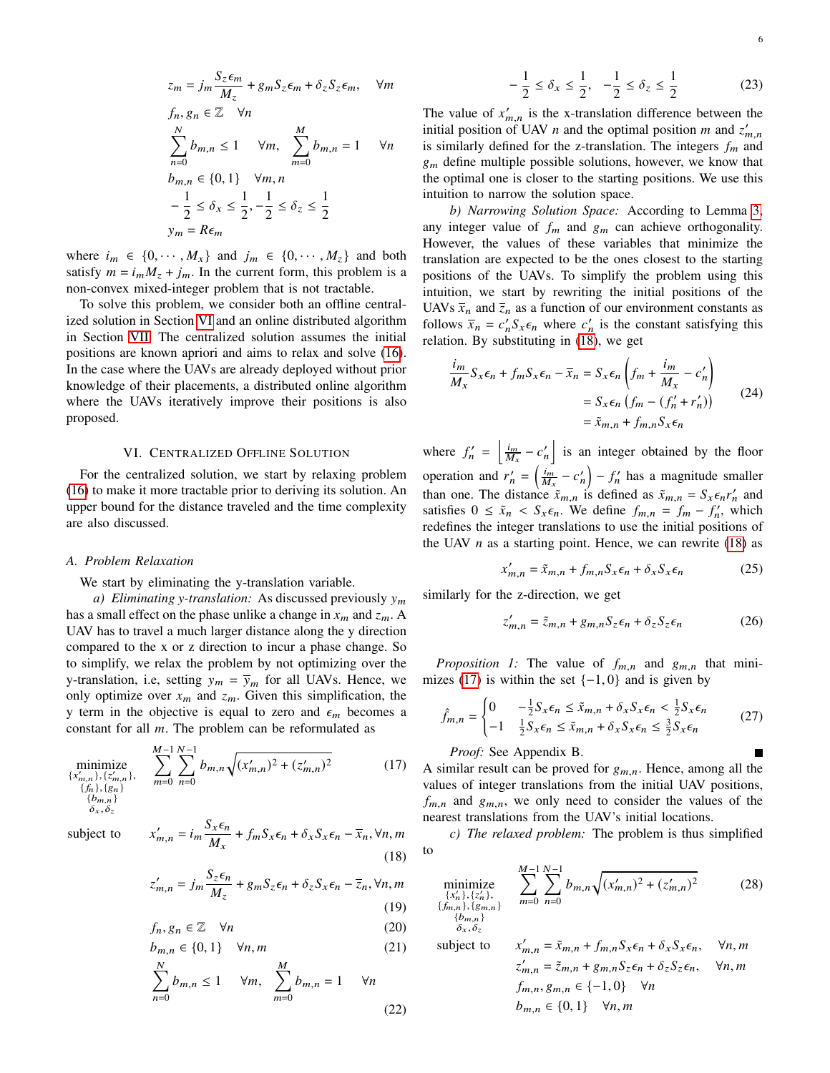$$
z_m = j_m \frac{S_z \epsilon_m}{M_z} + g_m S_z \epsilon_m + \delta_z S_z \epsilon_m, \quad \forall m
$$
  
\n
$$
f_n, g_n \in \mathbb{Z} \quad \forall n
$$
  
\n
$$
\sum_{n=0}^N b_{m,n} \le 1 \quad \forall m, \quad \sum_{m=0}^M b_{m,n} = 1 \quad \forall n
$$
  
\n
$$
b_{m,n} \in \{0, 1\} \quad \forall m, n
$$
  
\n
$$
-\frac{1}{2} \le \delta_x \le \frac{1}{2}, -\frac{1}{2} \le \delta_z \le \frac{1}{2}
$$
  
\n
$$
y_m = R \epsilon_m
$$

where  $i_m \in \{0, \cdots, M_x\}$  and  $j_m \in \{0, \cdots, M_z\}$  and both satisfy  $m = i_m M_z + j_m$ . In the current form, this problem is a non-convex mixed-integer problem that is not tractable.

To solve this problem, we consider both an offline centralized solution in Section [VI](#page-5-0) and an online distributed algorithm in Section [VII.](#page-6-0) The centralized solution assumes the initial positions are known apriori and aims to relax and solve [\(16\)](#page-4-2). In the case where the UAVs are already deployed without prior knowledge of their placements, a distributed online algorithm where the UAVs iteratively improve their positions is also proposed.

### VI. CENTRALIZED OFFLINE SOLUTION

<span id="page-5-0"></span>For the centralized solution, we start by relaxing problem [\(16\)](#page-4-2) to make it more tractable prior to deriving its solution. An upper bound for the distance traveled and the time complexity are also discussed.

#### *A. Problem Relaxation*

#### We start by eliminating the y-translation variable.

*a*) *Eliminating y-translation:* As discussed previously  $y_m$ has a small effect on the phase unlike a change in  $x_m$  and  $z_m$ . A UAV has to travel a much larger distance along the y direction compared to the x or z direction to incur a phase change. So to simplify, we relax the problem by not optimizing over the y-translation, i.e, setting  $y_m = \overline{y}_m$  for all UAVs. Hence, we only optimize over  $x_m$  and  $z_m$ . Given this simplification, the y term in the objective is equal to zero and  $\epsilon_m$  becomes a constant for all  $m$ . The problem can be reformulated as

$$
\underset{\substack{\{x'_{m,n}\},\{z'_{m,n}\},\\(f_n),\{g_n\}\\b_{m,n}\}}{\text{minimize}} \sum_{m=0}^{M-1} \sum_{n=0}^{N-1} b_{m,n} \sqrt{(x'_{m,n})^2 + (z'_{m,n})^2}
$$
\n
$$
(17)
$$
\n
$$
\delta_x, \delta_z
$$

subject to  $x$ 

$$
I_{m,n}' = i_m \frac{S_x \epsilon_n}{M_x} + f_m S_x \epsilon_n + \delta_x S_x \epsilon_n - \overline{x}_n, \forall n, m
$$
\n(18)

$$
z'_{m,n} = j_m \frac{S_z \epsilon_n}{M_z} + g_m S_z \epsilon_n + \delta_z S_x \epsilon_n - \overline{z}_n, \forall n, m
$$
\n(19)

$$
f_n, g_n \in \mathbb{Z} \quad \forall n \tag{20}
$$

$$
b_{m,n} \in \{0,1\} \quad \forall n,m
$$
\n
$$
N \qquad M \tag{21}
$$

$$
\sum_{n=0}^{N} b_{m,n} \le 1 \quad \forall m, \quad \sum_{m=0}^{M} b_{m,n} = 1 \quad \forall n
$$
\n(22)

<span id="page-5-6"></span>
$$
-\frac{1}{2} \le \delta_x \le \frac{1}{2}, \quad -\frac{1}{2} \le \delta_z \le \frac{1}{2}
$$
 (23)

The value of  $x'_{m,n}$  is the x-translation difference between the initial position of UAV *n* and the optimal position *m* and  $z'_{m,n}$ is similarly defined for the z-translation. The integers  $f_m$  and  $g_m$  define multiple possible solutions, however, we know that the optimal one is closer to the starting positions. We use this intuition to narrow the solution space.

*b) Narrowing Solution Space:* According to Lemma [3,](#page-3-4) any integer value of  $f_m$  and  $g_m$  can achieve orthogonality. However, the values of these variables that minimize the translation are expected to be the ones closest to the starting positions of the UAVs. To simplify the problem using this intuition, we start by rewriting the initial positions of the UAVs  $\bar{x}_n$  and  $\bar{z}_n$  as a function of our environment constants as follows  $\bar{x}_n = c'_n S_x \epsilon_n$  where  $c'_n$  is the constant satisfying this relation. By substituting in [\(18\)](#page-5-1), we get

$$
\frac{i_m}{M_x} S_x \epsilon_n + f_m S_x \epsilon_n - \overline{x}_n = S_x \epsilon_n \left( f_m + \frac{i_m}{M_x} - c'_n \right)
$$
  
=  $S_x \epsilon_n \left( f_m - (f'_n + r'_n) \right)$  (24)  
=  $\tilde{x}_{m,n} + f_{m,n} S_x \epsilon_n$ 

where  $f'_n = \left| \frac{i_m}{M_x} - c'_n \right|$  is an integer obtained by the floor operation and  $r'_n = \left(\frac{i_m}{M_x} - c'_n\right) - f'_n$  has a magnitude smaller than one. The distance  $\tilde{x}_{m,n}$  is defined as  $\tilde{x}_{m,n} = S_x \epsilon_n r'_n$  and satisfies  $0 \leq \tilde{x}_n < S_{\tilde{x}} \epsilon_n$ . We define  $f_{m,n} = f_m - f'_n$ , which redefines the integer translations to use the initial positions of the UAV  $n$  as a starting point. Hence, we can rewrite [\(18\)](#page-5-1) as

<span id="page-5-7"></span>
$$
x'_{m,n} = \tilde{x}_{m,n} + f_{m,n} S_x \epsilon_n + \delta_x S_x \epsilon_n \tag{25}
$$

similarly for the z-direction, we get

$$
z'_{m,n} = \tilde{z}_{m,n} + g_{m,n} S_z \epsilon_n + \delta_z S_z \epsilon_n \tag{26}
$$

<span id="page-5-5"></span>*Proposition 1:* The value of  $f_{m,n}$  and  $g_{m,n}$  that mini-mizes [\(17\)](#page-5-2) is within the set  $\{-1, 0\}$  and is given by

<span id="page-5-4"></span>
$$
\hat{f}_{m,n} = \begin{cases}\n0 & -\frac{1}{2} S_x \epsilon_n \le \tilde{x}_{m,n} + \delta_x S_x \epsilon_n < \frac{1}{2} S_x \epsilon_n \\
-1 & \frac{1}{2} S_x \epsilon_n \le \tilde{x}_{m,n} + \delta_x S_x \epsilon_n \le \frac{3}{2} S_x \epsilon_n\n\end{cases} \tag{27}
$$

*Proof:* See Appendix B.

min  $\overline{\{x'_n\}}$ 

 $\{f_{m,n}\}$  ${b}$ 

<span id="page-5-2"></span>A similar result can be proved for  $g_{m,n}$ . Hence, among all the values of integer translations from the initial UAV positions,  $f_{m,n}$  and  $g_{m,n}$ , we only need to consider the values of the nearest translations from the UAV's initial locations.

<span id="page-5-1"></span>*c) The relaxed problem:* The problem is thus simplified to

<span id="page-5-3"></span>
$$
\underset{\substack{n\\n\\n\\n\\n\\n\\
\delta_x,\delta_z}\n\end{math}\n\sum_{\substack{n=0\\n\equiv 0}}^{M-1} \sum_{n=0}^{N-1} b_{m,n} \sqrt{(x'_{m,n})^2 + (z'_{m,n})^2}
$$
\n(28)

subject to 
$$
x'_{m,n} = \tilde{x}_{m,n} + f_{m,n} S_x \epsilon_n + \delta_x S_x \epsilon_n, \quad \forall n, m
$$

$$
z'_{m,n} = \tilde{z}_{m,n} + g_{m,n} S_z \epsilon_n + \delta_z S_z \epsilon_n, \quad \forall n, m
$$

$$
f_{m,n}, g_{m,n} \in \{-1, 0\} \quad \forall n
$$

$$
b_{m,n} \in \{0, 1\} \quad \forall n, m
$$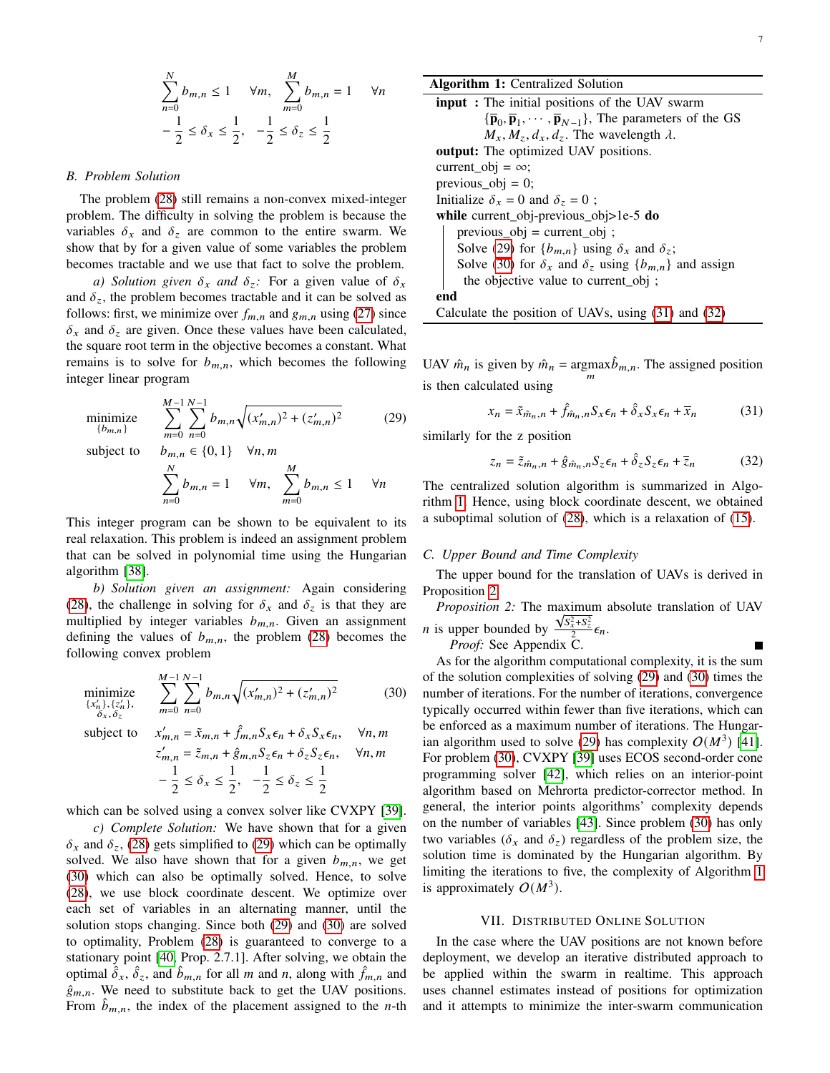$$
\sum_{n=0}^{N} b_{m,n} \le 1 \quad \forall m, \quad \sum_{m=0}^{M} b_{m,n} = 1 \quad \forall n
$$

$$
-\frac{1}{2} \le \delta_x \le \frac{1}{2}, \quad -\frac{1}{2} \le \delta_z \le \frac{1}{2}
$$

#### *B. Problem Solution*

The problem [\(28\)](#page-5-3) still remains a non-convex mixed-integer problem. The difficulty in solving the problem is because the variables  $\delta_x$  and  $\delta_z$  are common to the entire swarm. We show that by for a given value of some variables the problem becomes tractable and we use that fact to solve the problem.

*a)* Solution given  $\delta_x$  and  $\delta_z$ : For a given value of  $\delta_x$ and  $\delta_z$ , the problem becomes tractable and it can be solved as follows: first, we minimize over  $f_{m,n}$  and  $g_{m,n}$  using [\(27\)](#page-5-4) since  $\delta_x$  and  $\delta_z$  are given. Once these values have been calculated, the square root term in the objective becomes a constant. What remains is to solve for  $b_{m,n}$ , which becomes the following integer linear program

$$
\underset{\{b_{m,n}\}}{\text{minimize}} \quad \sum_{m=0}^{M-1} \sum_{n=0}^{N-1} b_{m,n} \sqrt{(x'_{m,n})^2 + (z'_{m,n})^2} \tag{29}
$$

subject to

$$
\sum_{n=0}^{N} b_{m,n} = 1 \quad \forall m, \quad \sum_{m=0}^{M} b_{m,n} \le 1 \quad \forall n
$$

This integer program can be shown to be equivalent to its real relaxation. This problem is indeed an assignment problem that can be solved in polynomial time using the Hungarian algorithm [\[38\]](#page-15-14).

*b) Solution given an assignment:* Again considering [\(28\)](#page-5-3), the challenge in solving for  $\delta_x$  and  $\delta_z$  is that they are multiplied by integer variables  $b_{m,n}$ . Given an assignment defining the values of  $b_{m,n}$ , the problem [\(28\)](#page-5-3) becomes the following convex problem

$$
\underset{\substack{\{x'_n\},\{z'_n\},\\ \delta_x,\delta_z}}{\text{minimize}} \quad \sum_{m=0}^{M-1} \sum_{n=0}^{N-1} b_{m,n} \sqrt{(x'_{m,n})^2 + (z'_{m,n})^2} \tag{30}
$$

subject to 
$$
x'_{m,n} = \tilde{x}_{m,n} + \hat{f}_{m,n} S_x \epsilon_n + \delta_x S_x \epsilon_n, \quad \forall n, m
$$

$$
z'_{m,n} = \tilde{z}_{m,n} + \hat{g}_{m,n} S_z \epsilon_n + \delta_z S_z \epsilon_n, \quad \forall n, m
$$

$$
-\frac{1}{2} \le \delta_x \le \frac{1}{2}, \quad -\frac{1}{2} \le \delta_z \le \frac{1}{2}
$$

which can be solved using a convex solver like CVXPY [\[39\]](#page-15-15).

*c) Complete Solution:* We have shown that for a given  $\delta_x$  and  $\delta_z$ , [\(28\)](#page-5-3) gets simplified to [\(29\)](#page-6-1) which can be optimally solved. We also have shown that for a given  $b_{m,n}$ , we get [\(30\)](#page-6-2) which can also be optimally solved. Hence, to solve [\(28\)](#page-5-3), we use block coordinate descent. We optimize over each set of variables in an alternating manner, until the solution stops changing. Since both [\(29\)](#page-6-1) and [\(30\)](#page-6-2) are solved to optimality, Problem [\(28\)](#page-5-3) is guaranteed to converge to a stationary point [\[40,](#page-15-16) Prop. 2.7.1]. After solving, we obtain the optimal  $\hat{\delta}_x$ ,  $\hat{\delta}_z$ , and  $\hat{b}_{m,n}$  for all m and n, along with  $\hat{f}_{m,n}$  and  $\hat{g}_{m,n}$ . We need to substitute back to get the UAV positions. From  $\hat{b}_{m,n}$ , the index of the placement assigned to the *n*-th

| <b>Algorithm 1:</b> Centralized Solution                                                                               |  |  |  |
|------------------------------------------------------------------------------------------------------------------------|--|--|--|
| <b>input</b> : The initial positions of the UAV swarm                                                                  |  |  |  |
| $\{\overline{\mathbf{p}}_0, \overline{\mathbf{p}}_1, \cdots, \overline{\mathbf{p}}_{N-1}\}$ , The parameters of the GS |  |  |  |
| $M_x, M_z, d_x, d_z$ . The wavelength $\lambda$ .                                                                      |  |  |  |
| <b>output:</b> The optimized UAV positions.                                                                            |  |  |  |
| current_obj = $\infty$ ;                                                                                               |  |  |  |
| $previous_0$ = 0;                                                                                                      |  |  |  |
| Initialize $\delta_x = 0$ and $\delta_z = 0$ ;                                                                         |  |  |  |
| while current_obj-previous_obj>1e-5 $do$                                                                               |  |  |  |
| previous $obj = current obj$ ;                                                                                         |  |  |  |
| Solve (29) for $\{b_{m,n}\}\$ using $\delta_x$ and $\delta_z$ ;                                                        |  |  |  |
| Solve (30) for $\delta_x$ and $\delta_z$ using $\{b_{m,n}\}\$ and assign                                               |  |  |  |
| the objective value to current obj ;                                                                                   |  |  |  |
| end                                                                                                                    |  |  |  |
| Calculate the position of UAVs, using $(31)$ and $(32)$                                                                |  |  |  |

UAV  $\hat{m}_n$  is given by  $\hat{m}_n = \underset{m}{\text{argmax}} \hat{b}_{m,n}$ . The assigned position is then calculated using

<span id="page-6-5"></span><span id="page-6-3"></span>
$$
x_n = \tilde{x}_{\hat{m}_n, n} + \hat{f}_{\hat{m}_n, n} S_x \epsilon_n + \hat{\delta}_x S_x \epsilon_n + \bar{x}_n \tag{31}
$$

<span id="page-6-1"></span>similarly for the z position

<span id="page-6-4"></span>
$$
z_n = \tilde{z}_{\hat{m}_n, n} + \hat{g}_{\hat{m}_n, n} S_z \epsilon_n + \hat{\delta}_z S_z \epsilon_n + \overline{z}_n \tag{32}
$$

The centralized solution algorithm is summarized in Algorithm [1.](#page-6-5) Hence, using block coordinate descent, we obtained a suboptimal solution of [\(28\)](#page-5-3), which is a relaxation of [\(15\)](#page-4-1).

# *C. Upper Bound and Time Complexity*

<span id="page-6-6"></span>The upper bound for the translation of UAVs is derived in Proposition [2](#page-6-6)

*Proposition 2:* The maximum absolute translation of UAV *n* is upper bounded by  $\frac{\sqrt{S_x^2 + S_z^2}}{2} \epsilon_n$ .

*Proof:* See Appendix C.

<span id="page-6-2"></span>As for the algorithm computational complexity, it is the sum of the solution complexities of solving [\(29\)](#page-6-1) and [\(30\)](#page-6-2) times the number of iterations. For the number of iterations, convergence typically occurred within fewer than five iterations, which can be enforced as a maximum number of iterations. The Hungar-ian algorithm used to solve [\(29\)](#page-6-1) has complexity  $O(M^3)$  [\[41\]](#page-15-17). For problem [\(30\)](#page-6-2), CVXPY [\[39\]](#page-15-15) uses ECOS second-order cone programming solver [\[42\]](#page-15-18), which relies on an interior-point algorithm based on Mehrorta predictor-corrector method. In general, the interior points algorithms' complexity depends on the number of variables [\[43\]](#page-15-19). Since problem [\(30\)](#page-6-2) has only two variables ( $\delta_x$  and  $\delta_z$ ) regardless of the problem size, the solution time is dominated by the Hungarian algorithm. By limiting the iterations to five, the complexity of Algorithm [1](#page-6-5) is approximately  $O(M^3)$ .

#### VII. DISTRIBUTED ONLINE SOLUTION

<span id="page-6-0"></span>In the case where the UAV positions are not known before deployment, we develop an iterative distributed approach to be applied within the swarm in realtime. This approach uses channel estimates instead of positions for optimization and it attempts to minimize the inter-swarm communication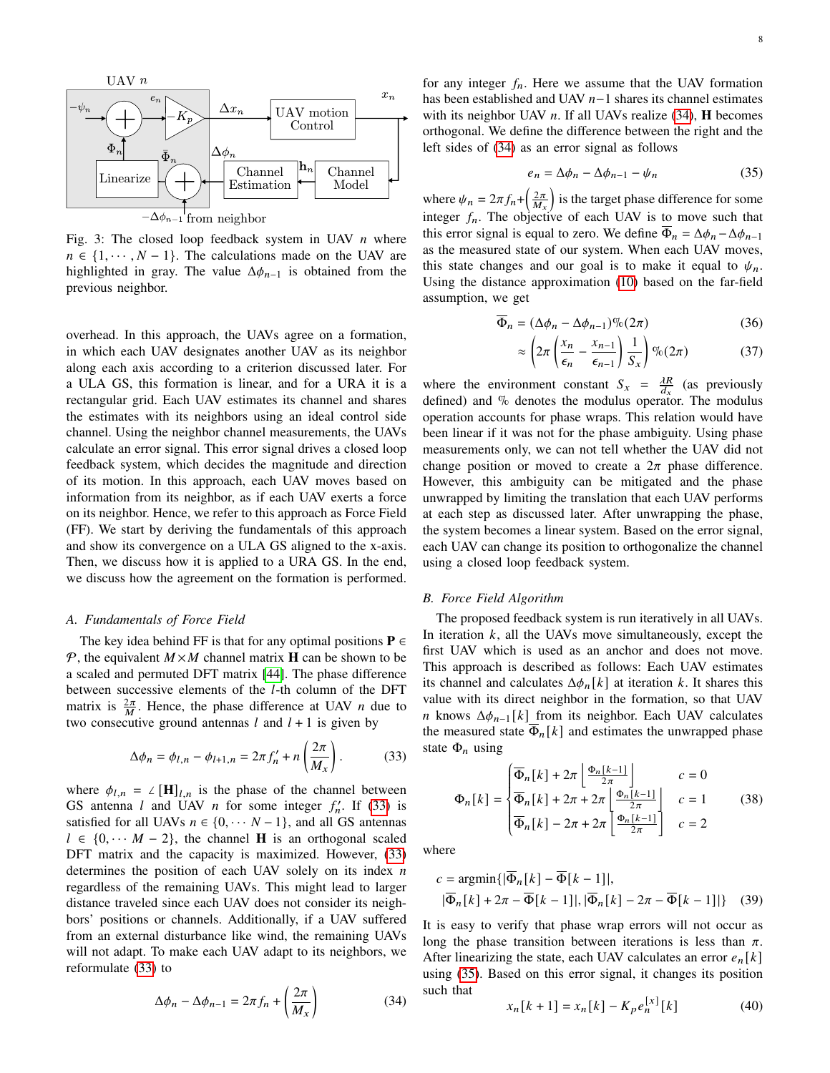<span id="page-7-3"></span>

Fig. 3: The closed loop feedback system in UAV  $n$  where  $n \in \{1, \dots, N-1\}$ . The calculations made on the UAV are highlighted in gray. The value  $\Delta\phi_{n-1}$  is obtained from the previous neighbor.

overhead. In this approach, the UAVs agree on a formation, in which each UAV designates another UAV as its neighbor along each axis according to a criterion discussed later. For a ULA GS, this formation is linear, and for a URA it is a rectangular grid. Each UAV estimates its channel and shares the estimates with its neighbors using an ideal control side channel. Using the neighbor channel measurements, the UAVs calculate an error signal. This error signal drives a closed loop feedback system, which decides the magnitude and direction of its motion. In this approach, each UAV moves based on information from its neighbor, as if each UAV exerts a force on its neighbor. Hence, we refer to this approach as Force Field (FF). We start by deriving the fundamentals of this approach and show its convergence on a ULA GS aligned to the x-axis. Then, we discuss how it is applied to a URA GS. In the end, we discuss how the agreement on the formation is performed.

#### *A. Fundamentals of Force Field*

The key idea behind FF is that for any optimal positions  $P \in$ P, the equivalent  $M \times M$  channel matrix **H** can be shown to be a scaled and permuted DFT matrix [\[44\]](#page-15-20). The phase difference between successive elements of the  $l$ -th column of the DFT matrix is  $\frac{2\pi}{M}$ . Hence, the phase difference at UAV *n* due to two consecutive ground antennas  $l$  and  $l + 1$  is given by

<span id="page-7-0"></span>
$$
\Delta \phi_n = \phi_{l,n} - \phi_{l+1,n} = 2\pi f'_n + n \left(\frac{2\pi}{M_x}\right). \tag{33}
$$

where  $\phi_{l,n} = \angle [\mathbf{H}]_{l,n}$  is the phase of the channel between GS antenna *l* and UAV *n* for some integer  $f'_n$ . If [\(33\)](#page-7-0) is satisfied for all UAVs  $n \in \{0, \dots N-1\}$ , and all GS antennas  $l \in \{0, \dots M - 2\}$ , the channel **H** is an orthogonal scaled DFT matrix and the capacity is maximized. However, [\(33\)](#page-7-0) determines the position of each UAV solely on its index  $n$ regardless of the remaining UAVs. This might lead to larger distance traveled since each UAV does not consider its neighbors' positions or channels. Additionally, if a UAV suffered from an external disturbance like wind, the remaining UAVs will not adapt. To make each UAV adapt to its neighbors, we reformulate [\(33\)](#page-7-0) to

<span id="page-7-1"></span>
$$
\Delta \phi_n - \Delta \phi_{n-1} = 2\pi f_n + \left(\frac{2\pi}{M_x}\right) \tag{34}
$$

for any integer  $f_n$ . Here we assume that the UAV formation has been established and UAV  $n-1$  shares its channel estimates with its neighbor UAV  $n$ . If all UAVs realize [\(34\)](#page-7-1), **H** becomes orthogonal. We define the difference between the right and the left sides of [\(34\)](#page-7-1) as an error signal as follows

<span id="page-7-2"></span>
$$
e_n = \Delta \phi_n - \Delta \phi_{n-1} - \psi_n \tag{35}
$$

where  $\psi_n = 2\pi f_n + \left(\frac{2\pi}{M_x}\right)$  is the target phase difference for some integer  $f_n$ . The objective of each UAV is to move such that this error signal is equal to zero. We define  $\overline{\Phi}_n = \Delta \phi_n - \Delta \phi_{n-1}$ as the measured state of our system. When each UAV moves, this state changes and our goal is to make it equal to  $\psi_n$ . Using the distance approximation [\(10\)](#page-3-6) based on the far-field assumption, we get

$$
\overline{\Phi}_n = (\Delta \phi_n - \Delta \phi_{n-1})\% (2\pi) \tag{36}
$$

<span id="page-7-7"></span><span id="page-7-5"></span>
$$
\approx \left(2\pi \left(\frac{x_n}{\epsilon_n} - \frac{x_{n-1}}{\epsilon_{n-1}}\right) \frac{1}{S_x}\right) \% (2\pi) \tag{37}
$$

where the environment constant  $S_x = \frac{\lambda R}{d_x}$  (as previously defined) and % denotes the modulus operator. The modulus operation accounts for phase wraps. This relation would have been linear if it was not for the phase ambiguity. Using phase measurements only, we can not tell whether the UAV did not change position or moved to create a  $2\pi$  phase difference. However, this ambiguity can be mitigated and the phase unwrapped by limiting the translation that each UAV performs at each step as discussed later. After unwrapping the phase, the system becomes a linear system. Based on the error signal, each UAV can change its position to orthogonalize the channel using a closed loop feedback system.

# *B. Force Field Algorithm*

The proposed feedback system is run iteratively in all UAVs. In iteration  $k$ , all the UAVs move simultaneously, except the first UAV which is used as an anchor and does not move. This approach is described as follows: Each UAV estimates its channel and calculates  $\Delta \phi_n[k]$  at iteration k. It shares this value with its direct neighbor in the formation, so that UAV *n* knows  $\Delta \phi_{n-1}[k]$  from its neighbor. Each UAV calculates the measured state  $\overline{\Phi}_n[k]$  and estimates the unwrapped phase state  $\Phi_n$  using

<span id="page-7-6"></span>
$$
\Phi_n[k] = \begin{cases} \overline{\Phi}_n[k] + 2\pi \left[ \frac{\Phi_n[k-1]}{2\pi} \right] & c = 0\\ \overline{\Phi}_n[k] + 2\pi + 2\pi \left[ \frac{\Phi_n[k-1]}{2\pi} \right] & c = 1\\ \overline{\Phi}_n[k] - 2\pi + 2\pi \left[ \frac{\Phi_n[k-1]}{2\pi} \right] & c = 2 \end{cases} \tag{38}
$$

where

$$
c = \operatorname{argmin}\{|\overline{\Phi}_n[k] - \overline{\Phi}[k-1]|, |\overline{\Phi}_n[k] + 2\pi - \overline{\Phi}[k-1]|, |\overline{\Phi}_n[k] - 2\pi - \overline{\Phi}[k-1]| \} (39)
$$

It is easy to verify that phase wrap errors will not occur as long the phase transition between iterations is less than  $\pi$ . After linearizing the state, each UAV calculates an error  $e_n[k]$ using [\(35\)](#page-7-2). Based on this error signal, it changes its position such that

<span id="page-7-4"></span>
$$
x_n[k+1] = x_n[k] - K_p e_n^{[x]}[k]
$$
 (40)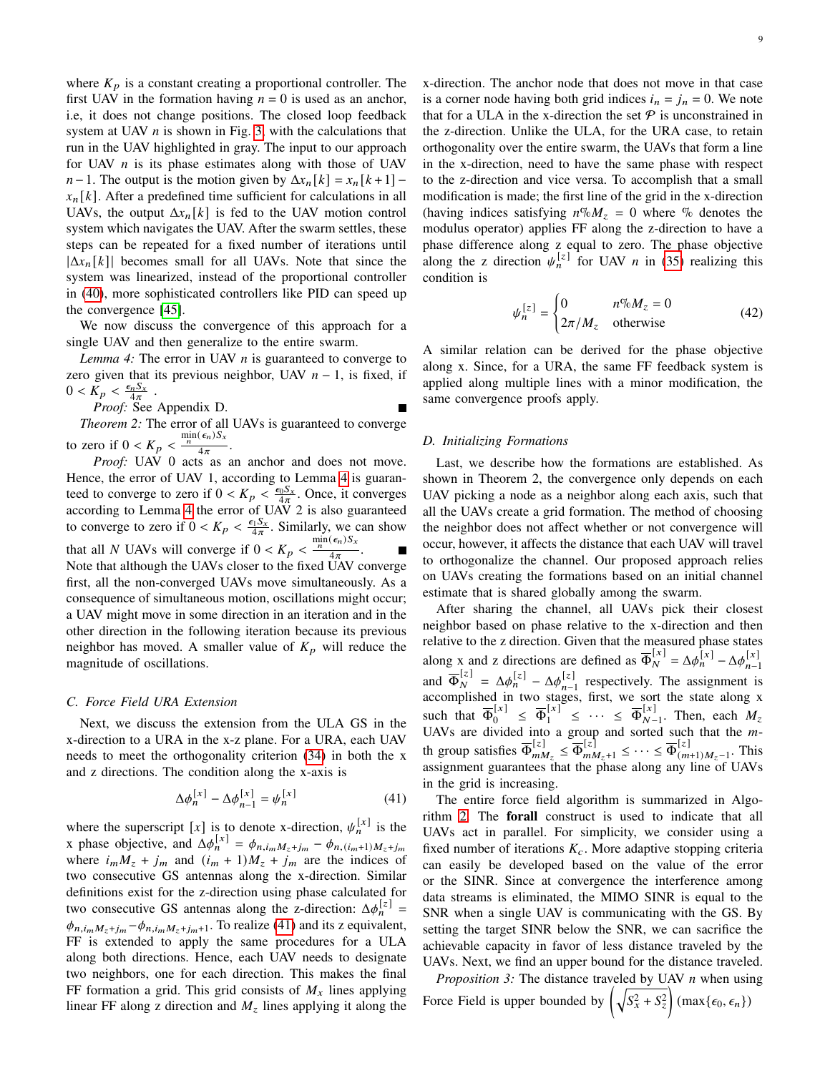where  $K_p$  is a constant creating a proportional controller. The first UAV in the formation having  $n = 0$  is used as an anchor, i.e, it does not change positions. The closed loop feedback system at UAV  $n$  is shown in Fig. [3,](#page-7-3) with the calculations that run in the UAV highlighted in gray. The input to our approach for UAV  *is its phase estimates along with those of UAV*  $n-1$ . The output is the motion given by  $\Delta x_n[k] = x_n[k+1]$  $x_n[k]$ . After a predefined time sufficient for calculations in all UAVs, the output  $\Delta x_n[k]$  is fed to the UAV motion control system which navigates the UAV. After the swarm settles, these steps can be repeated for a fixed number of iterations until  $|\Delta x_n[k]|$  becomes small for all UAVs. Note that since the system was linearized, instead of the proportional controller in [\(40\)](#page-7-4), more sophisticated controllers like PID can speed up the convergence [\[45\]](#page-15-21).

We now discuss the convergence of this approach for a single UAV and then generalize to the entire swarm.

*Lemma 4:* The error in UAV  $n$  is guaranteed to converge to zero given that its previous neighbor, UAV  $n - 1$ , is fixed, if  $0 < K_p < \frac{\epsilon_n S_x}{4\pi}$ .

*Proof:* See Appendix D.

<span id="page-8-3"></span>*Theorem 2:* The error of all UAVs is guaranteed to converge to zero if  $0 < K_p < \frac{\min(\epsilon_n) S_x}{4\pi}$  $\frac{1}{4\pi}$ .

*Proof:* UAV 0 acts as an anchor and does not move. Hence, the error of UAV 1, according to Lemma [4](#page-8-0) is guaranteed to converge to zero if  $0 < K_p < \frac{\epsilon_0 S_x}{4\pi}$ . Once, it converges according to Lemma [4](#page-8-0) the error of UAV 2 is also guaranteed to converge to zero if  $0 < K_p < \frac{\epsilon_1 S_x}{4\pi}$ . Similarly, we can show that all N UAVs will converge if  $0 < K_p < \frac{\min(\epsilon_n) S_x}{4\pi}$  $\frac{1}{4\pi}$ . Note that although the UAVs closer to the fixed UAV converge first, all the non-converged UAVs move simultaneously. As a consequence of simultaneous motion, oscillations might occur; a UAV might move in some direction in an iteration and in the other direction in the following iteration because its previous neighbor has moved. A smaller value of  $K_p$  will reduce the magnitude of oscillations.

#### *C. Force Field URA Extension*

Next, we discuss the extension from the ULA GS in the x-direction to a URA in the x-z plane. For a URA, each UAV needs to meet the orthogonality criterion [\(34\)](#page-7-1) in both the x and z directions. The condition along the x-axis is

<span id="page-8-1"></span>
$$
\Delta \phi_n^{[x]} - \Delta \phi_{n-1}^{[x]} = \psi_n^{[x]}
$$
 (41)

where the superscript [x] is to denote x-direction,  $\psi_n^{[x]}$  is the x phase objective, and  $\Delta \phi_n^{[x]} = \phi_{n,i_m M_z + j_m} - \phi_{n,(i_m+1)M_z + j_m}$ where  $i_m M_z + j_m$  and  $(i_m + 1)M_z + j_m$  are the indices of two consecutive GS antennas along the x-direction. Similar definitions exist for the z-direction using phase calculated for two consecutive GS antennas along the z-direction:  $\Delta \phi_n^{[z]}$  =  $\phi_{n,i_mM_z+j_m}-\phi_{n,i_mM_z+j_m+1}$ . To realize [\(41\)](#page-8-1) and its z equivalent, FF is extended to apply the same procedures for a ULA along both directions. Hence, each UAV needs to designate two neighbors, one for each direction. This makes the final FF formation a grid. This grid consists of  $M_x$  lines applying linear FF along z direction and  $M<sub>z</sub>$  lines applying it along the x-direction. The anchor node that does not move in that case is a corner node having both grid indices  $i_n = j_n = 0$ . We note that for a ULA in the x-direction the set  $P$  is unconstrained in the z-direction. Unlike the ULA, for the URA case, to retain orthogonality over the entire swarm, the UAVs that form a line in the x-direction, need to have the same phase with respect to the z-direction and vice versa. To accomplish that a small modification is made; the first line of the grid in the x-direction (having indices satisfying  $n\% M_z = 0$  where % denotes the modulus operator) applies FF along the z-direction to have a phase difference along z equal to zero. The phase objective along the z direction  $\psi_n^{[z]}$  for UAV *n* in [\(35\)](#page-7-2) realizing this condition is

<span id="page-8-2"></span>
$$
\psi_n^{[z]} = \begin{cases} 0 & n\%M_z = 0\\ 2\pi/M_z & \text{otherwise} \end{cases}
$$
 (42)

<span id="page-8-0"></span>A similar relation can be derived for the phase objective along x. Since, for a URA, the same FF feedback system is applied along multiple lines with a minor modification, the same convergence proofs apply.

# *D. Initializing Formations*

Last, we describe how the formations are established. As shown in Theorem 2, the convergence only depends on each UAV picking a node as a neighbor along each axis, such that all the UAVs create a grid formation. The method of choosing the neighbor does not affect whether or not convergence will occur, however, it affects the distance that each UAV will travel to orthogonalize the channel. Our proposed approach relies on UAVs creating the formations based on an initial channel estimate that is shared globally among the swarm.

After sharing the channel, all UAVs pick their closest neighbor based on phase relative to the x-direction and then relative to the z direction. Given that the measured phase states along x and z directions are defined as  $\overline{\Phi}_{N}^{[x]} = \Delta \phi_{n}^{[x]} - \Delta \phi_{n}^{[x]}$  $n-1$ and  $\overline{\Phi}_N^{[z]} = \Delta \phi_n^{[z]} - \Delta \phi_{n-1}^{[z]}$  $\sum_{n=1}^{\lfloor z \rfloor}$  respectively. The assignment is accomplished in two stages, first, we sort the state along x such that  $\overline{\Phi}_0^{[x]} \leq \overline{\Phi}_1^{[x]} \leq \cdots \leq \overline{\Phi}_{N}^{[x]}$  $\frac{[x]}{N-1}$ . Then, each  $M_z$ UAVs are divided into a group and sorted such that the  $m$ th group satisfies  $\overline{\Phi}_{m\lambda}^{[z]}$  $\overline{w}_{mM_z}^{[z]} \leq \overline{\Phi}_{mM_z+1}^{[z]} \leq \cdots \leq \overline{\Phi}_{mM_z}^{[z]}$  $\sum_{(m+1)M_z-1}^{\infty}$ . This assignment guarantees that the phase along any line of UAVs in the grid is increasing.

The entire force field algorithm is summarized in Algorithm [2.](#page-9-1) The forall construct is used to indicate that all UAVs act in parallel. For simplicity, we consider using a fixed number of iterations  $K_c$ . More adaptive stopping criteria can easily be developed based on the value of the error or the SINR. Since at convergence the interference among data streams is eliminated, the MIMO SINR is equal to the SNR when a single UAV is communicating with the GS. By setting the target SINR below the SNR, we can sacrifice the achievable capacity in favor of less distance traveled by the UAVs. Next, we find an upper bound for the distance traveled.

<span id="page-8-4"></span>*Proposition 3:* The distance traveled by UAV *n* when using Force Field is upper bounded by  $\left(\sqrt{S_x^2 + S_z^2}\right)$  (max $\{\epsilon_0, \epsilon_n\}$ )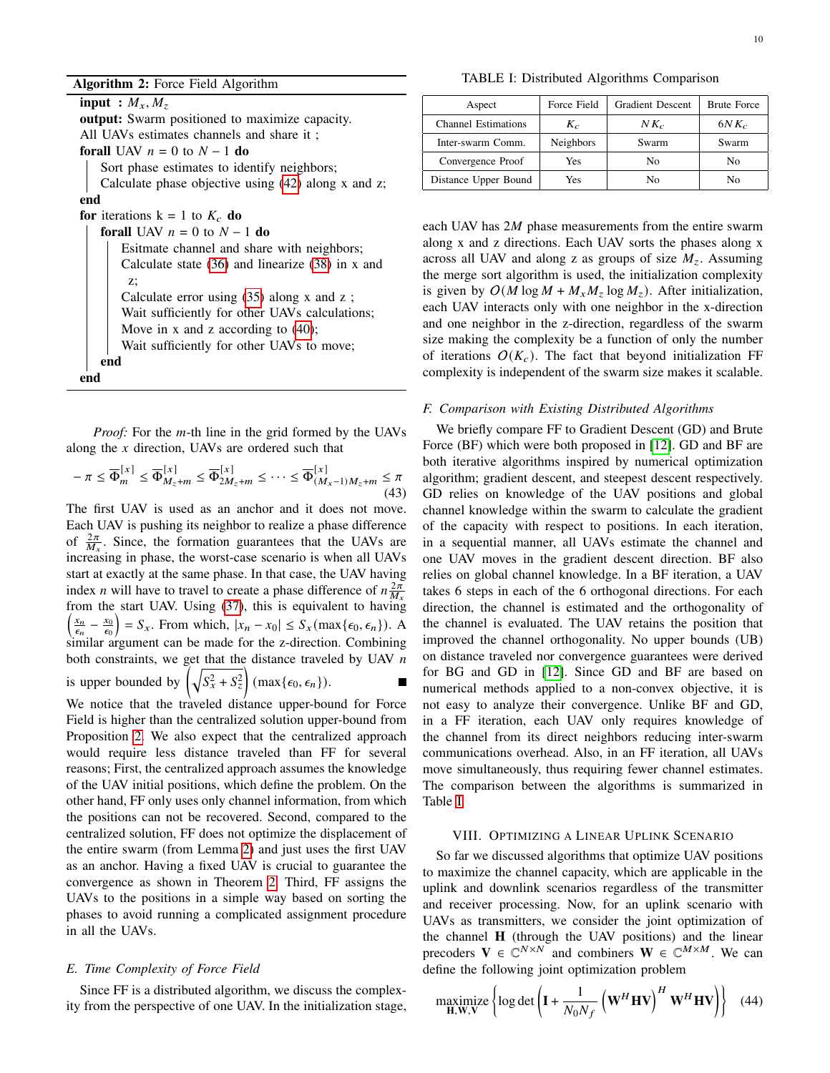input :  $M_x, M_z$ output: Swarm positioned to maximize capacity. All UAVs estimates channels and share it ; forall UAV  $n = 0$  to  $N - 1$  do Sort phase estimates to identify neighbors; Calculate phase objective using [\(42\)](#page-8-2) along x and z; end for iterations  $k = 1$  to  $K_c$  do forall UAV  $n = 0$  to  $N - 1$  do Esitmate channel and share with neighbors; Calculate state [\(36\)](#page-7-5) and linearize [\(38\)](#page-7-6) in x and z; Calculate error using [\(35\)](#page-7-2) along x and z ; Wait sufficiently for other UAVs calculations; Move in x and z according to [\(40\)](#page-7-4); Wait sufficiently for other UAVs to move; end end

<span id="page-9-1"></span>*Proof:* For the *m*-th line in the grid formed by the UAVs along the  $x$  direction, UAVs are ordered such that

$$
-\pi \leq \overline{\Phi}_m^{[x]} \leq \overline{\Phi}_{M_z+m}^{[x]} \leq \overline{\Phi}_{2M_z+m}^{[x]} \leq \cdots \leq \overline{\Phi}_{(M_x-1)M_z+m}^{[x]} \leq \pi
$$
\n(43)

The first UAV is used as an anchor and it does not move. Each UAV is pushing its neighbor to realize a phase difference of  $\frac{2\pi}{M_x}$ . Since, the formation guarantees that the UAVs are increasing in phase, the worst-case scenario is when all UAVs start at exactly at the same phase. In that case, the UAV having index *n* will have to travel to create a phase difference of  $n \frac{2\pi}{M_x}$ from the start UAV. Using [\(37\)](#page-7-7), this is equivalent to having  $\frac{x_n}{\epsilon_n} - \frac{x_0}{\epsilon_0}$  $\left(\frac{x_0}{\epsilon_0}\right) = S_x$ . From which,  $|x_n - x_0| \leq S_x(\max{\{\epsilon_0, \epsilon_n\}})$ . A  $\sum_{n=1}^{\infty}$  similar argument can be made for the z-direction. Combining both constraints, we get that the distance traveled by UAV  $n$ is upper bounded by  $\left(\sqrt{S_x^2 + S_z^2}\right)$  (max $\{\epsilon_0, \epsilon_n\}$ ).

We notice that the traveled distance upper-bound for Force Field is higher than the centralized solution upper-bound from Proposition [2.](#page-6-6) We also expect that the centralized approach would require less distance traveled than FF for several reasons; First, the centralized approach assumes the knowledge of the UAV initial positions, which define the problem. On the other hand, FF only uses only channel information, from which the positions can not be recovered. Second, compared to the centralized solution, FF does not optimize the displacement of the entire swarm (from Lemma [2\)](#page-3-3) and just uses the first UAV as an anchor. Having a fixed UAV is crucial to guarantee the convergence as shown in Theorem [2.](#page-8-3) Third, FF assigns the UAVs to the positions in a simple way based on sorting the phases to avoid running a complicated assignment procedure in all the UAVs.

# *E. Time Complexity of Force Field*

Since FF is a distributed algorithm, we discuss the complexity from the perspective of one UAV. In the initialization stage,

TABLE I: Distributed Algorithms Comparison

<span id="page-9-2"></span>

| Aspect                     | Force Field      | <b>Gradient Descent</b> | <b>Brute Force</b> |
|----------------------------|------------------|-------------------------|--------------------|
| <b>Channel Estimations</b> | $K_c$            | $N K_c$                 | $6NK_c$            |
| Inter-swarm Comm.          | <b>Neighbors</b> | Swarm                   | Swarm              |
| Convergence Proof          | Yes              | No                      | No                 |
| Distance Upper Bound       | Yes              | Nο                      | Nο                 |

each UAV has  $2M$  phase measurements from the entire swarm along x and z directions. Each UAV sorts the phases along x across all UAV and along z as groups of size  $M_z$ . Assuming the merge sort algorithm is used, the initialization complexity is given by  $O(M \log M + M_x M_z \log M_z)$ . After initialization, each UAV interacts only with one neighbor in the x-direction and one neighbor in the z-direction, regardless of the swarm size making the complexity be a function of only the number of iterations  $O(K_c)$ . The fact that beyond initialization FF complexity is independent of the swarm size makes it scalable.

#### *F. Comparison with Existing Distributed Algorithms*

We briefly compare FF to Gradient Descent (GD) and Brute Force (BF) which were both proposed in [\[12\]](#page-14-11). GD and BF are both iterative algorithms inspired by numerical optimization algorithm; gradient descent, and steepest descent respectively. GD relies on knowledge of the UAV positions and global channel knowledge within the swarm to calculate the gradient of the capacity with respect to positions. In each iteration, in a sequential manner, all UAVs estimate the channel and one UAV moves in the gradient descent direction. BF also relies on global channel knowledge. In a BF iteration, a UAV takes 6 steps in each of the 6 orthogonal directions. For each direction, the channel is estimated and the orthogonality of the channel is evaluated. The UAV retains the position that improved the channel orthogonality. No upper bounds (UB) on distance traveled nor convergence guarantees were derived for BG and GD in [\[12\]](#page-14-11). Since GD and BF are based on numerical methods applied to a non-convex objective, it is not easy to analyze their convergence. Unlike BF and GD, in a FF iteration, each UAV only requires knowledge of the channel from its direct neighbors reducing inter-swarm communications overhead. Also, in an FF iteration, all UAVs move simultaneously, thus requiring fewer channel estimates. The comparison between the algorithms is summarized in Table [I.](#page-9-2)

#### VIII. OPTIMIZING A LINEAR UPLINK SCENARIO

<span id="page-9-0"></span>So far we discussed algorithms that optimize UAV positions to maximize the channel capacity, which are applicable in the uplink and downlink scenarios regardless of the transmitter and receiver processing. Now, for an uplink scenario with UAVs as transmitters, we consider the joint optimization of the channel **H** (through the UAV positions) and the linear precoders  $V \in \widehat{C}^{N \times N}$  and combiners  $W \in \widehat{C}^{M \times M}$ . We can define the following joint optimization problem

<span id="page-9-3"></span>
$$
\underset{\mathbf{H}, \mathbf{W}, \mathbf{V}}{\text{maximize}} \left\{ \log \det \left( \mathbf{I} + \frac{1}{N_0 N_f} \left( \mathbf{W}^H \mathbf{H} \mathbf{V} \right)^H \mathbf{W}^H \mathbf{H} \mathbf{V} \right) \right\} \tag{44}
$$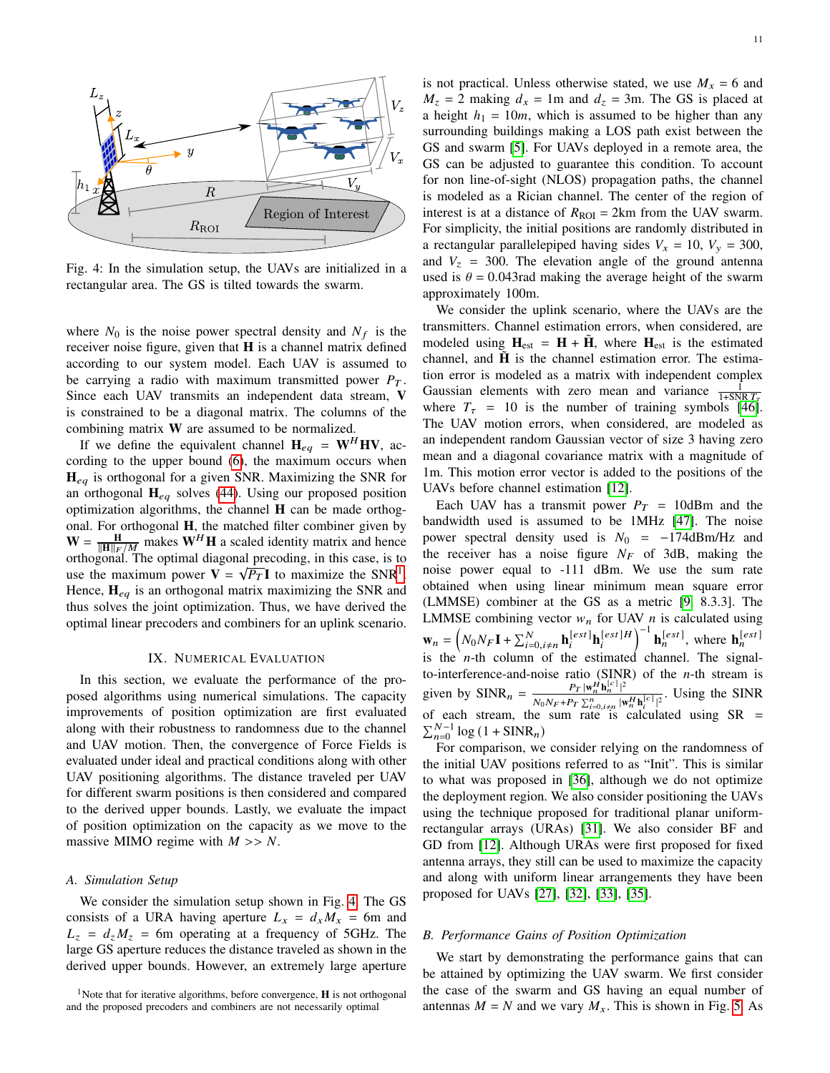<span id="page-10-1"></span>

Fig. 4: In the simulation setup, the UAVs are initialized in a rectangular area. The GS is tilted towards the swarm.

where  $N_0$  is the noise power spectral density and  $N_f$  is the receiver noise figure, given that **H** is a channel matrix defined according to our system model. Each UAV is assumed to be carrying a radio with maximum transmitted power  $P_T$ . Since each UAV transmits an independent data stream, **V** is constrained to be a diagonal matrix. The columns of the combining matrix **W** are assumed to be normalized.

If we define the equivalent channel  $H_{eq} = W^H H V$ , according to the upper bound [\(6\)](#page-2-2), the maximum occurs when  $H_{eq}$  is orthogonal for a given SNR. Maximizing the SNR for an orthogonal  $H_{eq}$  solves [\(44\)](#page-9-3). Using our proposed position optimization algorithms, the channel **H** can be made orthogonal. For orthogonal **H**, the matched filter combiner given by  $W = \frac{H}{\|H\|_F / M}$  makes  $W^H H$  a scaled identity matrix and hence orthogonal. The optimal diagonal precoding, in this case, is to use the maximum power  $V = \sqrt{P_T}I$  to maximize the SNR<sup>[1](#page-10-0)</sup>. Hence,  $H_{eq}$  is an orthogonal matrix maximizing the SNR and thus solves the joint optimization. Thus, we have derived the optimal linear precoders and combiners for an uplink scenario.

#### IX. NUMERICAL EVALUATION

In this section, we evaluate the performance of the proposed algorithms using numerical simulations. The capacity improvements of position optimization are first evaluated along with their robustness to randomness due to the channel and UAV motion. Then, the convergence of Force Fields is evaluated under ideal and practical conditions along with other UAV positioning algorithms. The distance traveled per UAV for different swarm positions is then considered and compared to the derived upper bounds. Lastly, we evaluate the impact of position optimization on the capacity as we move to the massive MIMO regime with  $M \gg N$ .

## *A. Simulation Setup*

We consider the simulation setup shown in Fig. [4.](#page-10-1) The GS consists of a URA having aperture  $L_x = d_x M_x = 6$ m and  $L_z = d_z M_z = 6$ m operating at a frequency of 5GHz. The large GS aperture reduces the distance traveled as shown in the derived upper bounds. However, an extremely large aperture is not practical. Unless otherwise stated, we use  $M_x = 6$  and  $M_z = 2$  making  $d_x = 1$ m and  $d_z = 3$ m. The GS is placed at a height  $h_1 = 10m$ , which is assumed to be higher than any surrounding buildings making a LOS path exist between the GS and swarm [\[5\]](#page-14-4). For UAVs deployed in a remote area, the GS can be adjusted to guarantee this condition. To account for non line-of-sight (NLOS) propagation paths, the channel

is modeled as a Rician channel. The center of the region of interest is at a distance of  $R_{\text{ROI}} = 2 \text{km}$  from the UAV swarm. For simplicity, the initial positions are randomly distributed in a rectangular parallelepiped having sides  $V_x = 10$ ,  $V_y = 300$ , and  $V_z$  = 300. The elevation angle of the ground antenna used is  $\theta = 0.043$  rad making the average height of the swarm approximately 100m.

We consider the uplink scenario, where the UAVs are the transmitters. Channel estimation errors, when considered, are modeled using  $H_{est} = H + \tilde{H}$ , where  $H_{est}$  is the estimated channel, and  $\tilde{H}$  is the channel estimation error. The estimation error is modeled as a matrix with independent complex Gaussian elements with zero mean and variance  $\frac{1}{1+{\rm SNR}T_{\tau}}$ where  $T<sub>\tau</sub> = 10$  is the number of training symbols [\[46\]](#page-15-22). The UAV motion errors, when considered, are modeled as an independent random Gaussian vector of size 3 having zero mean and a diagonal covariance matrix with a magnitude of 1m. This motion error vector is added to the positions of the UAVs before channel estimation [\[12\]](#page-14-11).

Each UAV has a transmit power  $P_T = 10$ dBm and the bandwidth used is assumed to be 1MHz [\[47\]](#page-15-23). The noise power spectral density used is  $N_0 = -174$ dBm/Hz and the receiver has a noise figure  $N_F$  of 3dB, making the noise power equal to -111 dBm. We use the sum rate obtained when using linear minimum mean square error (LMMSE) combiner at the GS as a metric [\[9,](#page-14-8) 8.3.3]. The LMMSE combining vector  $w_n$  for UAV  $n$  is calculated using  $\mathbf{w}_n = \left(N_0 N_F \mathbf{I} + \sum_{i=0, i \neq n}^N \mathbf{h}_i^{[est]} \mathbf{h}_i^{[est]H}\right)^{-1} \mathbf{h}_n^{[est]},$  where  $\mathbf{h}_n^{[est]}$ is the  $n$ -th column of the estimated channel. The signalto-interference-and-noise ratio (SINR) of the  $n$ -th stream is given by  $SINR_n = \frac{P_T |\mathbf{w}_n^H \mathbf{h}_n^{[c]}|^2}{N_1 N_1 + N_2 \sum_{i=1}^n p_i^H}$  $\frac{F_T |w_n| \mathbf{u}_n}{N_0 N_F + P_T \sum_{i=0, i \neq n}^{n} |\mathbf{w}_n^H \mathbf{h}_i^{[c]}|^2}$ . Using the SINR | of each stream, the sum rate is calculated using  $SR =$  $\sum_{n=0}^{N-1} \log (1 + \text{SINR}_n)$ 

For comparison, we consider relying on the randomness of the initial UAV positions referred to as "Init". This is similar to what was proposed in [\[36\]](#page-15-12), although we do not optimize the deployment region. We also consider positioning the UAVs using the technique proposed for traditional planar uniformrectangular arrays (URAs) [\[31\]](#page-15-8). We also consider BF and GD from [\[12\]](#page-14-11). Although URAs were first proposed for fixed antenna arrays, they still can be used to maximize the capacity and along with uniform linear arrangements they have been proposed for UAVs [\[27\]](#page-15-4), [\[32\]](#page-15-9), [\[33\]](#page-15-24), [\[35\]](#page-15-11).

#### *B. Performance Gains of Position Optimization*

We start by demonstrating the performance gains that can be attained by optimizing the UAV swarm. We first consider the case of the swarm and GS having an equal number of antennas  $M = N$  and we vary  $M_x$ . This is shown in Fig. [5.](#page-11-0) As

<span id="page-10-0"></span><sup>&</sup>lt;sup>1</sup>Note that for iterative algorithms, before convergence, **H** is not orthogonal and the proposed precoders and combiners are not necessarily optimal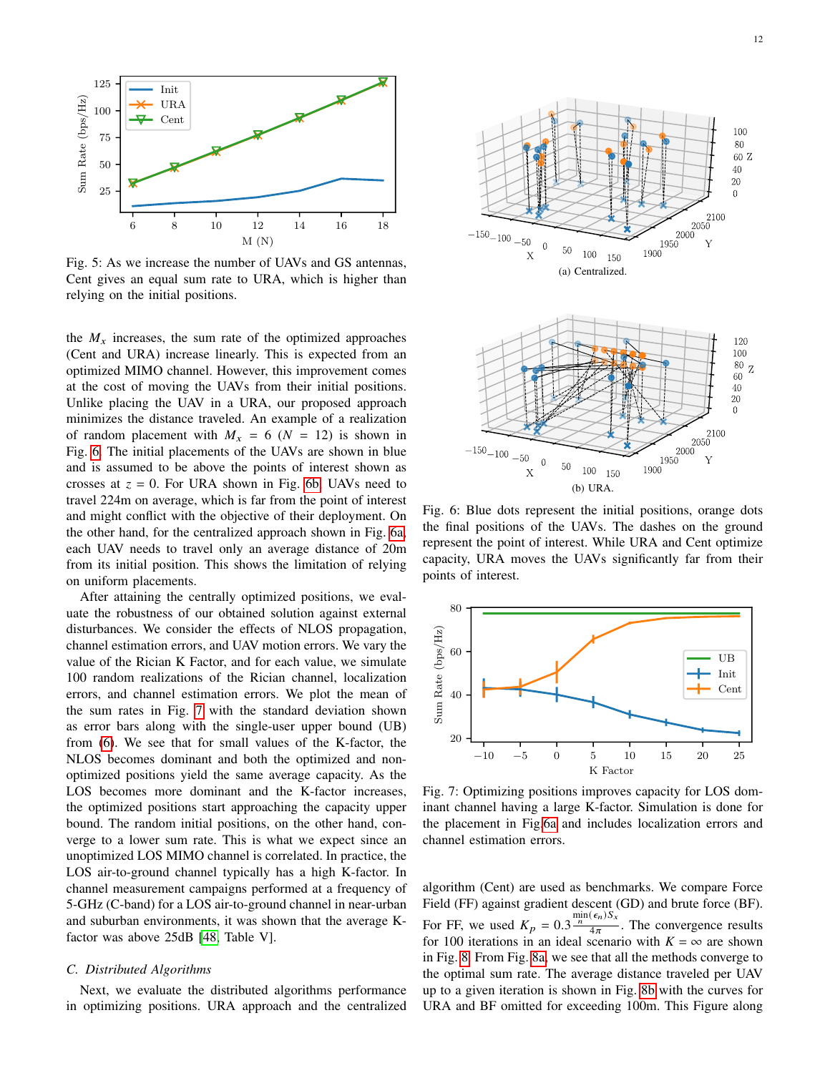<span id="page-11-0"></span>

Fig. 5: As we increase the number of UAVs and GS antennas, Cent gives an equal sum rate to URA, which is higher than relying on the initial positions.

the  $M_x$  increases, the sum rate of the optimized approaches (Cent and URA) increase linearly. This is expected from an optimized MIMO channel. However, this improvement comes at the cost of moving the UAVs from their initial positions. Unlike placing the UAV in a URA, our proposed approach minimizes the distance traveled. An example of a realization of random placement with  $M_x = 6$  ( $N = 12$ ) is shown in Fig. [6.](#page-11-1) The initial placements of the UAVs are shown in blue and is assumed to be above the points of interest shown as crosses at  $z = 0$ . For URA shown in Fig. [6b,](#page-11-2) UAVs need to travel 224m on average, which is far from the point of interest and might conflict with the objective of their deployment. On the other hand, for the centralized approach shown in Fig. [6a,](#page-11-3) each UAV needs to travel only an average distance of 20m from its initial position. This shows the limitation of relying on uniform placements.

After attaining the centrally optimized positions, we evaluate the robustness of our obtained solution against external disturbances. We consider the effects of NLOS propagation, channel estimation errors, and UAV motion errors. We vary the value of the Rician K Factor, and for each value, we simulate 100 random realizations of the Rician channel, localization errors, and channel estimation errors. We plot the mean of the sum rates in Fig. [7](#page-11-4) with the standard deviation shown as error bars along with the single-user upper bound (UB) from [\(6\)](#page-2-2). We see that for small values of the K-factor, the NLOS becomes dominant and both the optimized and nonoptimized positions yield the same average capacity. As the LOS becomes more dominant and the K-factor increases, the optimized positions start approaching the capacity upper bound. The random initial positions, on the other hand, converge to a lower sum rate. This is what we expect since an unoptimized LOS MIMO channel is correlated. In practice, the LOS air-to-ground channel typically has a high K-factor. In channel measurement campaigns performed at a frequency of 5-GHz (C-band) for a LOS air-to-ground channel in near-urban and suburban environments, it was shown that the average Kfactor was above 25dB [\[48,](#page-15-25) Table V].

#### *C. Distributed Algorithms*

Next, we evaluate the distributed algorithms performance in optimizing positions. URA approach and the centralized

<span id="page-11-3"></span><span id="page-11-2"></span><span id="page-11-1"></span>

Fig. 6: Blue dots represent the initial positions, orange dots the final positions of the UAVs. The dashes on the ground represent the point of interest. While URA and Cent optimize capacity, URA moves the UAVs significantly far from their points of interest.

<span id="page-11-4"></span>

Fig. 7: Optimizing positions improves capacity for LOS dominant channel having a large K-factor. Simulation is done for the placement in Fig[.6a](#page-11-3) and includes localization errors and channel estimation errors.

algorithm (Cent) are used as benchmarks. We compare Force Field (FF) against gradient descent (GD) and brute force (BF). For FF, we used  $K_p = 0.3 \frac{\min(\epsilon_n) S_x}{4\pi}$  $\frac{1}{4\pi}$ . The convergence results for 100 iterations in an ideal scenario with  $K = \infty$  are shown in Fig. [8.](#page-12-0) From Fig. [8a,](#page-12-1) we see that all the methods converge to the optimal sum rate. The average distance traveled per UAV up to a given iteration is shown in Fig. [8b](#page-12-2) with the curves for URA and BF omitted for exceeding 100m. This Figure along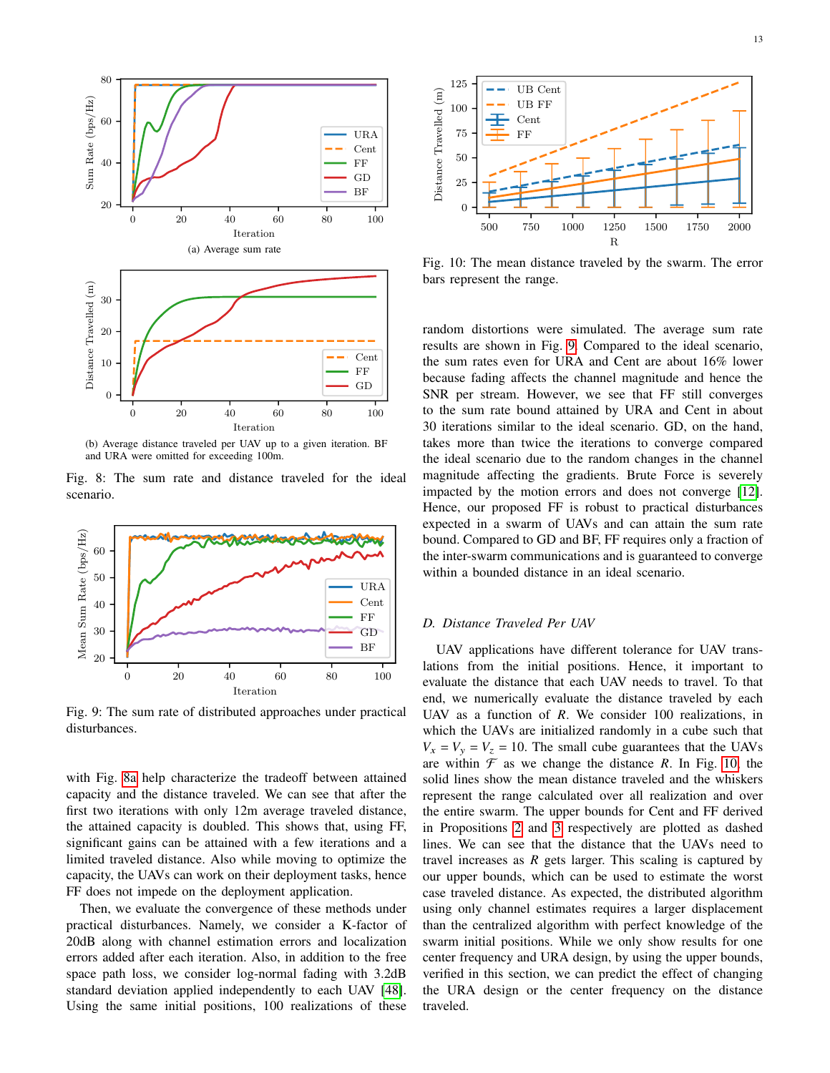<span id="page-12-1"></span><span id="page-12-0"></span>

<span id="page-12-2"></span>(b) Average distance traveled per UAV up to a given iteration. BF and URA were omitted for exceeding 100m.

Fig. 8: The sum rate and distance traveled for the ideal scenario.

<span id="page-12-3"></span>

Fig. 9: The sum rate of distributed approaches under practical disturbances.

with Fig. [8a](#page-12-1) help characterize the tradeoff between attained capacity and the distance traveled. We can see that after the first two iterations with only 12m average traveled distance, the attained capacity is doubled. This shows that, using FF, significant gains can be attained with a few iterations and a limited traveled distance. Also while moving to optimize the capacity, the UAVs can work on their deployment tasks, hence FF does not impede on the deployment application.

Then, we evaluate the convergence of these methods under practical disturbances. Namely, we consider a K-factor of 20dB along with channel estimation errors and localization errors added after each iteration. Also, in addition to the free space path loss, we consider log-normal fading with 3.2dB standard deviation applied independently to each UAV [\[48\]](#page-15-25). Using the same initial positions, 100 realizations of these

<span id="page-12-4"></span>

Fig. 10: The mean distance traveled by the swarm. The error bars represent the range.

random distortions were simulated. The average sum rate results are shown in Fig. [9.](#page-12-3) Compared to the ideal scenario, the sum rates even for URA and Cent are about 16% lower because fading affects the channel magnitude and hence the SNR per stream. However, we see that FF still converges to the sum rate bound attained by URA and Cent in about 30 iterations similar to the ideal scenario. GD, on the hand, takes more than twice the iterations to converge compared the ideal scenario due to the random changes in the channel magnitude affecting the gradients. Brute Force is severely impacted by the motion errors and does not converge [\[12\]](#page-14-11). Hence, our proposed FF is robust to practical disturbances expected in a swarm of UAVs and can attain the sum rate bound. Compared to GD and BF, FF requires only a fraction of the inter-swarm communications and is guaranteed to converge within a bounded distance in an ideal scenario.

#### *D. Distance Traveled Per UAV*

UAV applications have different tolerance for UAV translations from the initial positions. Hence, it important to evaluate the distance that each UAV needs to travel. To that end, we numerically evaluate the distance traveled by each UAV as a function of  $R$ . We consider 100 realizations, in which the UAVs are initialized randomly in a cube such that  $V_x = V_y = V_z = 10$ . The small cube guarantees that the UAVs are within  $\mathcal F$  as we change the distance R. In Fig. [10,](#page-12-4) the solid lines show the mean distance traveled and the whiskers represent the range calculated over all realization and over the entire swarm. The upper bounds for Cent and FF derived in Propositions [2](#page-6-6) and [3](#page-8-4) respectively are plotted as dashed lines. We can see that the distance that the UAVs need to travel increases as  $R$  gets larger. This scaling is captured by our upper bounds, which can be used to estimate the worst case traveled distance. As expected, the distributed algorithm using only channel estimates requires a larger displacement than the centralized algorithm with perfect knowledge of the swarm initial positions. While we only show results for one center frequency and URA design, by using the upper bounds, verified in this section, we can predict the effect of changing the URA design or the center frequency on the distance traveled.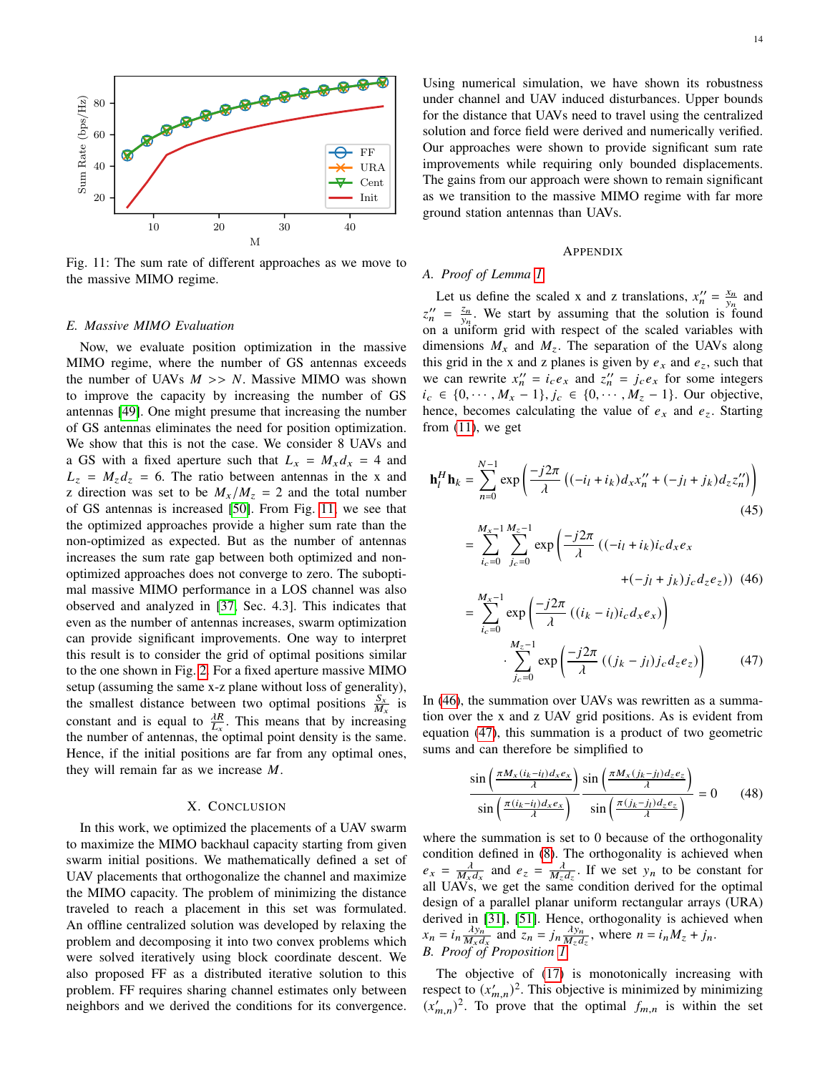<span id="page-13-0"></span>

Fig. 11: The sum rate of different approaches as we move to the massive MIMO regime.

#### *E. Massive MIMO Evaluation*

Now, we evaluate position optimization in the massive MIMO regime, where the number of GS antennas exceeds the number of UAVs  $M \gg N$ . Massive MIMO was shown to improve the capacity by increasing the number of GS antennas [\[49\]](#page-15-26). One might presume that increasing the number of GS antennas eliminates the need for position optimization. We show that this is not the case. We consider 8 UAVs and a GS with a fixed aperture such that  $L_x = M_x d_x = 4$  and  $L_z = M_z d_z = 6$ . The ratio between antennas in the x and z direction was set to be  $M_x/M_z = 2$  and the total number of GS antennas is increased [\[50\]](#page-15-27). From Fig. [11,](#page-13-0) we see that the optimized approaches provide a higher sum rate than the non-optimized as expected. But as the number of antennas increases the sum rate gap between both optimized and nonoptimized approaches does not converge to zero. The suboptimal massive MIMO performance in a LOS channel was also observed and analyzed in [\[37,](#page-15-13) Sec. 4.3]. This indicates that even as the number of antennas increases, swarm optimization can provide significant improvements. One way to interpret this result is to consider the grid of optimal positions similar to the one shown in Fig. [2.](#page-3-5) For a fixed aperture massive MIMO setup (assuming the same x-z plane without loss of generality), the smallest distance between two optimal positions  $\frac{S_x}{M_x}$  is constant and is equal to  $\frac{\partial R}{\partial x}$ . This means that by increasing the number of antennas, the optimal point density is the same. Hence, if the initial positions are far from any optimal ones, they will remain far as we increase  $M$ .

# X. CONCLUSION

In this work, we optimized the placements of a UAV swarm to maximize the MIMO backhaul capacity starting from given swarm initial positions. We mathematically defined a set of UAV placements that orthogonalize the channel and maximize the MIMO capacity. The problem of minimizing the distance traveled to reach a placement in this set was formulated. An offline centralized solution was developed by relaxing the problem and decomposing it into two convex problems which were solved iteratively using block coordinate descent. We also proposed FF as a distributed iterative solution to this problem. FF requires sharing channel estimates only between neighbors and we derived the conditions for its convergence.

Using numerical simulation, we have shown its robustness under channel and UAV induced disturbances. Upper bounds for the distance that UAVs need to travel using the centralized solution and force field were derived and numerically verified. Our approaches were shown to provide significant sum rate improvements while requiring only bounded displacements. The gains from our approach were shown to remain significant as we transition to the massive MIMO regime with far more ground station antennas than UAVs.

#### APPENDIX

# *A. Proof of Lemma [1](#page-3-2)*

Let us define the scaled x and z translations,  $x_n'' = \frac{x_n}{y_n}$  and  $z_n'' = \frac{z_n}{y_n}$ . We start by assuming that the solution is found on a uniform grid with respect of the scaled variables with dimensions  $M_x$  and  $M_z$ . The separation of the UAVs along this grid in the x and z planes is given by  $e_x$  and  $e_z$ , such that we can rewrite  $x_n'' = i_c e_x$  and  $z_n'' = j_c e_x$  for some integers  $i_c \in \{0, \dots, M_x - 1\}, j_c \in \{0, \dots, M_z - 1\}.$  Our objective, hence, becomes calculating the value of  $e_x$  and  $e_z$ . Starting from [\(11\)](#page-3-7), we get

$$
\mathbf{h}_l^H \mathbf{h}_k = \sum_{n=0}^{N-1} \exp\left(\frac{-j2\pi}{\lambda} \left( (-i_l + i_k) d_x x_n'' + (-j_l + j_k) d_z z_n'' \right) \right)
$$
(45)

<span id="page-13-1"></span>
$$
= \sum_{i_c=0}^{M_x - 1} \sum_{j_c=0}^{M_z - 1} \exp\left(\frac{-j2\pi}{\lambda} \left( (-i_l + i_k) i_c d_x e_x + (-j_l + j_k) j_c d_z e_z \right) \right)
$$
(46)  

$$
= \sum_{i_c=0}^{M_x - 1} \exp\left(\frac{-j2\pi}{\lambda} \left( (i_k - i_l) i_c d_x e_x \right) \right)
$$

$$
\cdot \sum_{j_c=0}^{M_z - 1} \exp\left(\frac{-j2\pi}{\lambda} \left( (j_k - j_l) j_c d_z e_z \right) \right)
$$
(47)

In [\(46\)](#page-13-1), the summation over UAVs was rewritten as a summation over the x and z UAV grid positions. As is evident from equation [\(47\)](#page-13-2), this summation is a product of two geometric sums and can therefore be simplified to

<span id="page-13-2"></span>
$$
\frac{\sin\left(\frac{\pi M_x(i_k - i_l)d_x e_x}{\lambda}\right)}{\sin\left(\frac{\pi (i_k - i_l)d_x e_x}{\lambda}\right)} \frac{\sin\left(\frac{\pi M_x(j_k - j_l)d_z e_z}{\lambda}\right)}{\sin\left(\frac{\pi (j_k - j_l)d_z e_z}{\lambda}\right)} = 0 \tag{48}
$$

where the summation is set to 0 because of the orthogonality condition defined in [\(8\)](#page-3-0). The orthogonality is achieved when  $e_x = \frac{\lambda}{M_x d_x}$  and  $e_z = \frac{\lambda}{M_z d_z}$ . If we set  $y_n$  to be constant for all UAVs, we get the same condition derived for the optimal design of a parallel planar uniform rectangular arrays (URA) derived in [\[31\]](#page-15-8), [\[51\]](#page-15-28). Hence, orthogonality is achieved when  $x_n = i_n \frac{\lambda y_n}{M}$  $\frac{\lambda y_n}{M_x d_x}$  and  $z_n = j_n \frac{\lambda y_n}{M_z d_x}$  $\frac{\lambda y_n}{M_z d_z}$ , where  $n = i_n M_z + j_n$ . *B. Proof of Proposition [1](#page-5-5)*

The objective of [\(17\)](#page-5-2) is monotonically increasing with respect to  $(x'_{m,n})^2$ . This objective is minimized by minimizing  $(x'_{m,n})^2$ . To prove that the optimal  $f_{m,n}$  is within the set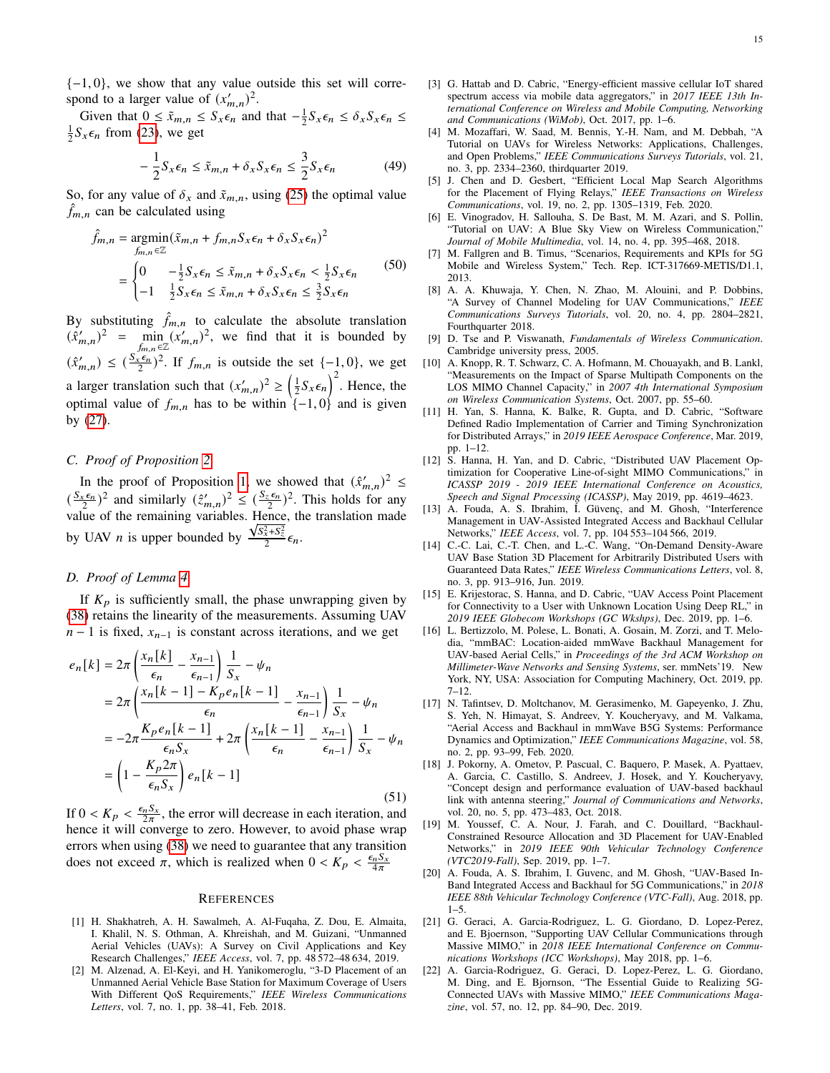$\{-1, 0\}$ , we show that any value outside this set will correspond to a larger value of  $(x'_{m,n})^2$ .

Given that  $0 \leq \tilde{x}_{m,n} \leq S_x \epsilon_n$  and that  $-\frac{1}{2} S_x \epsilon_n \leq \delta_x S_x \epsilon_n \leq$  $\frac{1}{2}S_x \epsilon_n$  from [\(23\)](#page-5-6), we get

$$
-\frac{1}{2}S_{x}\epsilon_{n} \leq \tilde{x}_{m,n} + \delta_{x}S_{x}\epsilon_{n} \leq \frac{3}{2}S_{x}\epsilon_{n}
$$
(49)

So, for any value of  $\delta_x$  and  $\tilde{x}_{m,n}$ , using [\(25\)](#page-5-7) the optimal value  $f_{m,n}$  can be calculated using

$$
\hat{f}_{m,n} = \underset{f_{m,n} \in \mathbb{Z}}{\operatorname{argmin}} (\tilde{x}_{m,n} + f_{m,n} S_x \epsilon_n + \delta_x S_x \epsilon_n)^2
$$
\n
$$
= \begin{cases}\n0 & -\frac{1}{2} S_x \epsilon_n \le \tilde{x}_{m,n} + \delta_x S_x \epsilon_n < \frac{1}{2} S_x \epsilon_n \\
-1 & \frac{1}{2} S_x \epsilon_n \le \tilde{x}_{m,n} + \delta_x S_x \epsilon_n \le \frac{3}{2} S_x \epsilon_n\n\end{cases} \tag{50}
$$

By substituting  $\hat{f}_{m,n}$  to calculate the absolute translation  $(\hat{x}_{m,n}')^2$  =  $\min_{\{f_{m,n}\in\mathbb{Z}}}(x'_{m,n})^2$ , we find that it is bounded by  $(\hat{x}_{m,n}') \leq (\frac{S_x \epsilon_n}{2})^2$ . If  $f_{m,n}$  is outside the set  $\{-1,0\}$ , we get a larger translation such that  $(x'_{m,n})^2 \ge \left(\frac{1}{2}S_x\epsilon_n\right)^2$ . Hence, the optimal value of  $f_{m,n}$  has to be within  $\{-1, 0\}$  and is given by [\(27\)](#page-5-4).

# *C. Proof of Proposition [2](#page-6-6)*

In the proof of Proposition [1,](#page-5-5) we showed that  $(\hat{x}_{m,n}')^2 \leq$  $\left(\frac{S_x \epsilon_n}{2}\right)$  $(\frac{\varepsilon \epsilon_n}{2})^2$  and similarly  $(\hat{z}_{m,n}')^2 \leq (\frac{S_z \epsilon_n}{2})^2$ . This holds for any value of the remaining variables. Hence, the translation made by UAV *n* is upper bounded by  $\frac{\sqrt{S_x^2 + S_z^2}}{2} \epsilon_n$ .

# *D. Proof of Lemma [4](#page-8-0)*

If  $K_p$  is sufficiently small, the phase unwrapping given by [\(38\)](#page-7-6) retains the linearity of the measurements. Assuming UAV  $n-1$  is fixed,  $x_{n-1}$  is constant across iterations, and we get

$$
e_n[k] = 2\pi \left( \frac{x_n[k]}{\epsilon_n} - \frac{x_{n-1}}{\epsilon_{n-1}} \right) \frac{1}{S_x} - \psi_n
$$
  
=  $2\pi \left( \frac{x_n[k-1] - K_p e_n[k-1]}{\epsilon_n} - \frac{x_{n-1}}{\epsilon_{n-1}} \right) \frac{1}{S_x} - \psi_n$   
=  $-2\pi \frac{K_p e_n[k-1]}{\epsilon_n S_x} + 2\pi \left( \frac{x_n[k-1]}{\epsilon_n} - \frac{x_{n-1}}{\epsilon_{n-1}} \right) \frac{1}{S_x} - \psi_n$   
=  $\left( 1 - \frac{K_p 2\pi}{\epsilon_n S_x} \right) e_n[k-1]$  (51)

If  $0 < K_p < \frac{\epsilon_n S_x}{2\pi}$ , the error will decrease in each iteration, and hence it will converge to zero. However, to avoid phase wrap errors when using [\(38\)](#page-7-6) we need to guarantee that any transition does not exceed  $\pi$ , which is realized when  $0 < K_p < \frac{\epsilon_n S_x}{4\pi}$ 

#### **REFERENCES**

- <span id="page-14-0"></span>[1] H. Shakhatreh, A. H. Sawalmeh, A. Al-Fuqaha, Z. Dou, E. Almaita, I. Khalil, N. S. Othman, A. Khreishah, and M. Guizani, "Unmanned Aerial Vehicles (UAVs): A Survey on Civil Applications and Key Research Challenges," *IEEE Access*, vol. 7, pp. 48 572–48 634, 2019.
- <span id="page-14-1"></span>[2] M. Alzenad, A. El-Keyi, and H. Yanikomeroglu, "3-D Placement of an Unmanned Aerial Vehicle Base Station for Maximum Coverage of Users With Different QoS Requirements," *IEEE Wireless Communications Letters*, vol. 7, no. 1, pp. 38–41, Feb. 2018.
- <span id="page-14-2"></span>[3] G. Hattab and D. Cabric, "Energy-efficient massive cellular IoT shared spectrum access via mobile data aggregators," in *2017 IEEE 13th International Conference on Wireless and Mobile Computing, Networking and Communications (WiMob)*, Oct. 2017, pp. 1–6.
- <span id="page-14-3"></span>[4] M. Mozaffari, W. Saad, M. Bennis, Y.-H. Nam, and M. Debbah, "A Tutorial on UAVs for Wireless Networks: Applications, Challenges, and Open Problems," *IEEE Communications Surveys Tutorials*, vol. 21, no. 3, pp. 2334–2360, thirdquarter 2019.
- <span id="page-14-4"></span>[5] J. Chen and D. Gesbert, "Efficient Local Map Search Algorithms for the Placement of Flying Relays," *IEEE Transactions on Wireless Communications*, vol. 19, no. 2, pp. 1305–1319, Feb. 2020.
- <span id="page-14-5"></span>[6] E. Vinogradov, H. Sallouha, S. De Bast, M. M. Azari, and S. Pollin, "Tutorial on UAV: A Blue Sky View on Wireless Communication," *Journal of Mobile Multimedia*, vol. 14, no. 4, pp. 395–468, 2018.
- <span id="page-14-6"></span>[7] M. Fallgren and B. Timus, "Scenarios, Requirements and KPIs for 5G Mobile and Wireless System," Tech. Rep. ICT-317669-METIS/D1.1, 2013.
- <span id="page-14-7"></span>[8] A. A. Khuwaja, Y. Chen, N. Zhao, M. Alouini, and P. Dobbins, "A Survey of Channel Modeling for UAV Communications," *IEEE Communications Surveys Tutorials*, vol. 20, no. 4, pp. 2804–2821, Fourthquarter 2018.
- <span id="page-14-8"></span>[9] D. Tse and P. Viswanath, *Fundamentals of Wireless Communication*. Cambridge university press, 2005.
- <span id="page-14-9"></span>[10] A. Knopp, R. T. Schwarz, C. A. Hofmann, M. Chouayakh, and B. Lankl, "Measurements on the Impact of Sparse Multipath Components on the LOS MIMO Channel Capacity," in *2007 4th International Symposium on Wireless Communication Systems*, Oct. 2007, pp. 55–60.
- <span id="page-14-10"></span>[11] H. Yan, S. Hanna, K. Balke, R. Gupta, and D. Cabric, "Software Defined Radio Implementation of Carrier and Timing Synchronization for Distributed Arrays," in *2019 IEEE Aerospace Conference*, Mar. 2019, pp. 1–12.
- <span id="page-14-11"></span>[12] S. Hanna, H. Yan, and D. Cabric, "Distributed UAV Placement Optimization for Cooperative Line-of-sight MIMO Communications," in *ICASSP 2019 - 2019 IEEE International Conference on Acoustics, Speech and Signal Processing (ICASSP)*, May 2019, pp. 4619–4623.
- <span id="page-14-12"></span>[13] A. Fouda, A. S. Ibrahim, I. Güvenç, and M. Ghosh, "Interference Management in UAV-Assisted Integrated Access and Backhaul Cellular Networks," *IEEE Access*, vol. 7, pp. 104 553–104 566, 2019.
- <span id="page-14-13"></span>[14] C.-C. Lai, C.-T. Chen, and L.-C. Wang, "On-Demand Density-Aware UAV Base Station 3D Placement for Arbitrarily Distributed Users with Guaranteed Data Rates," *IEEE Wireless Communications Letters*, vol. 8, no. 3, pp. 913–916, Jun. 2019.
- <span id="page-14-14"></span>[15] E. Krijestorac, S. Hanna, and D. Cabric, "UAV Access Point Placement for Connectivity to a User with Unknown Location Using Deep RL," in *2019 IEEE Globecom Workshops (GC Wkshps)*, Dec. 2019, pp. 1–6.
- <span id="page-14-15"></span>[16] L. Bertizzolo, M. Polese, L. Bonati, A. Gosain, M. Zorzi, and T. Melodia, "mmBAC: Location-aided mmWave Backhaul Management for UAV-based Aerial Cells," in *Proceedings of the 3rd ACM Workshop on Millimeter-Wave Networks and Sensing Systems*, ser. mmNets'19. New York, NY, USA: Association for Computing Machinery, Oct. 2019, pp. 7–12.
- <span id="page-14-16"></span>[17] N. Tafintsev, D. Moltchanov, M. Gerasimenko, M. Gapeyenko, J. Zhu, S. Yeh, N. Himayat, S. Andreev, Y. Koucheryavy, and M. Valkama, "Aerial Access and Backhaul in mmWave B5G Systems: Performance Dynamics and Optimization," *IEEE Communications Magazine*, vol. 58, no. 2, pp. 93–99, Feb. 2020.
- <span id="page-14-17"></span>[18] J. Pokorny, A. Ometov, P. Pascual, C. Baquero, P. Masek, A. Pyattaev, A. Garcia, C. Castillo, S. Andreev, J. Hosek, and Y. Koucheryavy, "Concept design and performance evaluation of UAV-based backhaul link with antenna steering," *Journal of Communications and Networks*, vol. 20, no. 5, pp. 473–483, Oct. 2018.
- <span id="page-14-18"></span>[19] M. Youssef, C. A. Nour, J. Farah, and C. Douillard, "Backhaul-Constrained Resource Allocation and 3D Placement for UAV-Enabled Networks," in *2019 IEEE 90th Vehicular Technology Conference (VTC2019-Fall)*, Sep. 2019, pp. 1–7.
- <span id="page-14-19"></span>[20] A. Fouda, A. S. Ibrahim, I. Guvenc, and M. Ghosh, "UAV-Based In-Band Integrated Access and Backhaul for 5G Communications," in *2018 IEEE 88th Vehicular Technology Conference (VTC-Fall)*, Aug. 2018, pp.  $1 - 5$ .
- <span id="page-14-20"></span>[21] G. Geraci, A. Garcia-Rodriguez, L. G. Giordano, D. Lopez-Perez, and E. Bjoernson, "Supporting UAV Cellular Communications through Massive MIMO," in *2018 IEEE International Conference on Communications Workshops (ICC Workshops)*, May 2018, pp. 1–6.
- <span id="page-14-21"></span>[22] A. Garcia-Rodriguez, G. Geraci, D. Lopez-Perez, L. G. Giordano, M. Ding, and E. Bjornson, "The Essential Guide to Realizing 5G-Connected UAVs with Massive MIMO," *IEEE Communications Magazine*, vol. 57, no. 12, pp. 84–90, Dec. 2019.